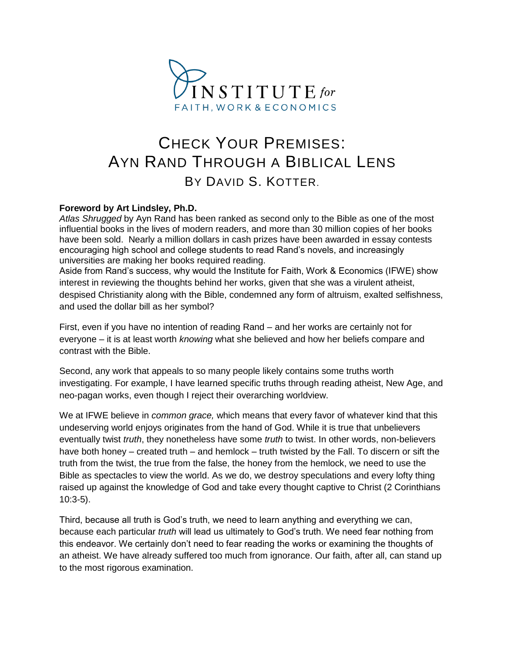

# CHECK YOUR PREMISES: AYN RAND THROUGH A BIBLICAL LENS BY DAVID S. KOTTER.

### **Foreword by Art Lindsley, Ph.D.**

*Atlas Shrugged* by Ayn Rand has been ranked as second only to the Bible as one of the most influential books in the lives of modern readers, and more than 30 million copies of her books have been sold. Nearly a million dollars in cash prizes have been awarded in essay contests encouraging high school and college students to read Rand's novels, and increasingly universities are making her books required reading.

Aside from Rand's success, why would the Institute for Faith, Work & Economics (IFWE) show interest in reviewing the thoughts behind her works, given that she was a virulent atheist, despised Christianity along with the Bible, condemned any form of altruism, exalted selfishness, and used the dollar bill as her symbol?

First, even if you have no intention of reading Rand – and her works are certainly not for everyone – it is at least worth *knowing* what she believed and how her beliefs compare and contrast with the Bible.

Second, any work that appeals to so many people likely contains some truths worth investigating. For example, I have learned specific truths through reading atheist, New Age, and neo-pagan works, even though I reject their overarching worldview.

We at IFWE believe in *common grace,* which means that every favor of whatever kind that this undeserving world enjoys originates from the hand of God. While it is true that unbelievers eventually twist *truth*, they nonetheless have some *truth* to twist. In other words, non-believers have both honey – created truth – and hemlock – truth twisted by the Fall. To discern or sift the truth from the twist, the true from the false, the honey from the hemlock, we need to use the Bible as spectacles to view the world. As we do, we destroy speculations and every lofty thing raised up against the knowledge of God and take every thought captive to Christ (2 Corinthians 10:3-5).

Third, because all truth is God's truth, we need to learn anything and everything we can, because each particular *truth* will lead us ultimately to God's truth. We need fear nothing from this endeavor. We certainly don't need to fear reading the works or examining the thoughts of an atheist. We have already suffered too much from ignorance. Our faith, after all, can stand up to the most rigorous examination.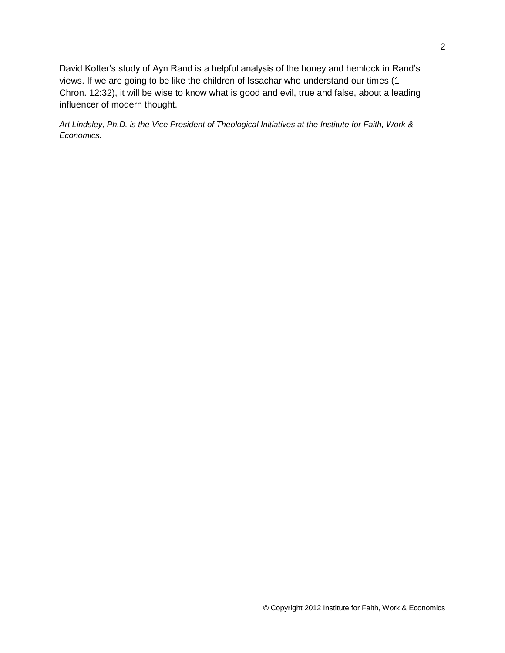David Kotter's study of Ayn Rand is a helpful analysis of the honey and hemlock in Rand's views. If we are going to be like the children of Issachar who understand our times (1 Chron. 12:32), it will be wise to know what is good and evil, true and false, about a leading influencer of modern thought.

*Art Lindsley, Ph.D. is the Vice President of Theological Initiatives at the Institute for Faith, Work & Economics.*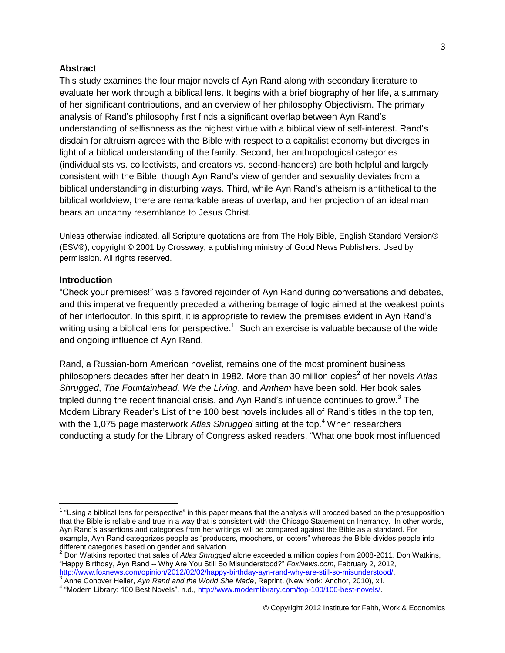#### **Abstract**

This study examines the four major novels of Ayn Rand along with secondary literature to evaluate her work through a biblical lens. It begins with a brief biography of her life, a summary of her significant contributions, and an overview of her philosophy Objectivism. The primary analysis of Rand's philosophy first finds a significant overlap between Ayn Rand's understanding of selfishness as the highest virtue with a biblical view of self-interest. Rand's disdain for altruism agrees with the Bible with respect to a capitalist economy but diverges in light of a biblical understanding of the family. Second, her anthropological categories (individualists vs. collectivists, and creators vs. second-handers) are both helpful and largely consistent with the Bible, though Ayn Rand's view of gender and sexuality deviates from a biblical understanding in disturbing ways. Third, while Ayn Rand's atheism is antithetical to the biblical worldview, there are remarkable areas of overlap, and her projection of an ideal man bears an uncanny resemblance to Jesus Christ.

Unless otherwise indicated, all Scripture quotations are from The Holy Bible, English Standard Version® (ESV®), copyright © 2001 by Crossway, a publishing ministry of Good News Publishers. Used by permission. All rights reserved.

#### **Introduction**

 $\overline{a}$ 

"Check your premises!" was a favored rejoinder of Ayn Rand during conversations and debates, and this imperative frequently preceded a withering barrage of logic aimed at the weakest points of her interlocutor. In this spirit, it is appropriate to review the premises evident in Ayn Rand's writing using a biblical lens for perspective.<sup>1</sup> Such an exercise is valuable because of the wide and ongoing influence of Ayn Rand.

Rand, a Russian-born American novelist, remains one of the most prominent business philosophers decades after her death in 1982. More than 30 million copies<sup>2</sup> of her novels Atlas *Shrugged*, *The Fountainhead, We the Living*, and *Anthem* have been sold. Her book sales tripled during the recent financial crisis, and Ayn Rand's influence continues to grow. $3$  The Modern Library Reader's List of the 100 best novels includes all of Rand's titles in the top ten, with the 1,075 page masterwork *Atlas Shrugged* sitting at the top.<sup>4</sup> When researchers conducting a study for the Library of Congress asked readers, "What one book most influenced

 $1$  "Using a biblical lens for perspective" in this paper means that the analysis will proceed based on the presupposition that the Bible is reliable and true in a way that is consistent with the Chicago Statement on Inerrancy. In other words, Ayn Rand's assertions and categories from her writings will be compared against the Bible as a standard. For example, Ayn Rand categorizes people as "producers, moochers, or looters" whereas the Bible divides people into different categories based on gender and salvation.

<sup>2</sup> Don Watkins reported that sales of *Atlas Shrugged* alone exceeded a million copies from 2008-2011. Don Watkins, "Happy Birthday, Ayn Rand -- Why Are You Still So Misunderstood?" *FoxNews.com*, February 2, 2012, [http://www.foxnews.com/opinion/2012/02/02/happy-birthday-ayn-rand-why-are-still-so-misunderstood/.](http://www.foxnews.com/opinion/2012/02/02/happy-birthday-ayn-rand-why-are-still-so-misunderstood/) 3

Anne Conover Heller, *Ayn Rand and the World She Made*, Reprint. (New York: Anchor, 2010), xii.

<sup>&</sup>lt;sup>4</sup> "Modern Library: 100 Best Novels", n.d., [http://www.modernlibrary.com/top-100/100-best-novels/.](http://www.modernlibrary.com/top-100/100-best-novels/)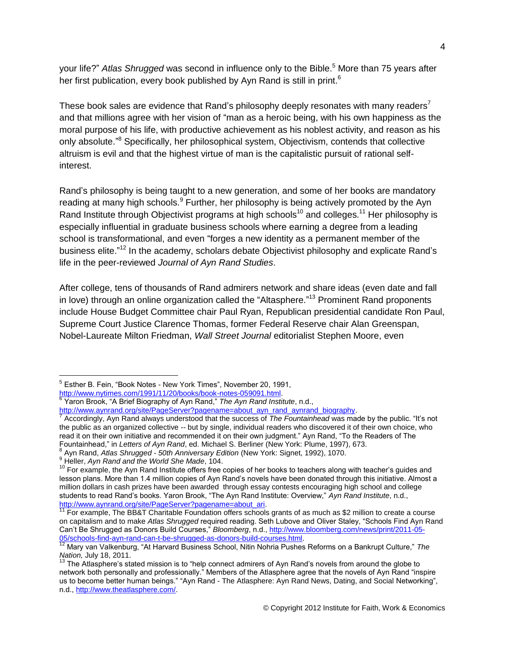your life?" *Atlas Shrugged* was second in influence only to the Bible.<sup>5</sup> More than 75 years after her first publication, every book published by Ayn Rand is still in print.<sup>6</sup>

These book sales are evidence that Rand's philosophy deeply resonates with many readers<sup>7</sup> and that millions agree with her vision of "man as a heroic being, with his own happiness as the moral purpose of his life, with productive achievement as his noblest activity, and reason as his only absolute."<sup>8</sup> Specifically, her philosophical system, Objectivism, contends that collective altruism is evil and that the highest virtue of man is the capitalistic pursuit of rational selfinterest.

Rand's philosophy is being taught to a new generation, and some of her books are mandatory reading at many high schools.<sup>9</sup> Further, her philosophy is being actively promoted by the Ayn Rand Institute through Objectivist programs at high schools<sup>10</sup> and colleges.<sup>11</sup> Her philosophy is especially influential in graduate business schools where earning a degree from a leading school is transformational, and even "forges a new identity as a permanent member of the business elite."<sup>12</sup> In the academy, scholars debate Objectivist philosophy and explicate Rand's life in the peer-reviewed *Journal of Ayn Rand Studies*.

After college, tens of thousands of Rand admirers network and share ideas (even date and fall in love) through an online organization called the "Altasphere."<sup>13</sup> Prominent Rand proponents include House Budget Committee chair Paul Ryan, Republican presidential candidate Ron Paul, Supreme Court Justice Clarence Thomas, former Federal Reserve chair Alan Greenspan, Nobel-Laureate Milton Friedman, *Wall Street Journal* editorialist Stephen Moore, even

<sup>&</sup>lt;sup>5</sup> Esther B. Fein, "Book Notes - New York Times", November 20, 1991, [http://www.nytimes.com/1991/11/20/books/book-notes-059091.html.](http://www.nytimes.com/1991/11/20/books/book-notes-059091.html)

<sup>6</sup> Yaron Brook, "A Brief Biography of Ayn Rand," *The Ayn Rand Institute*, n.d.,

[http://www.aynrand.org/site/PageServer?pagename=about\\_ayn\\_rand\\_aynrand\\_biography.](http://www.aynrand.org/site/PageServer?pagename=about_ayn_rand_aynrand_biography)<br>7 Accordingly, Avn Read clugue understood that the success of The Fountainbegdures ma

Accordingly, Ayn Rand always understood that the success of *The Fountainhead* was made by the public. "It's not the public as an organized collective -- but by single, individual readers who discovered it of their own choice, who read it on their own initiative and recommended it on their own judgment." Ayn Rand, "To the Readers of The Fountainhead," in *Letters of Ayn Rand*, ed. Michael S. Berliner (New York: Plume, 1997), 673. 8

Ayn Rand, *Atlas Shrugged - 50th Anniversary Edition* (New York: Signet, 1992), 1070.

<sup>9</sup> Heller, *Ayn Rand and the World She Made*, 104.

<sup>&</sup>lt;sup>10</sup> For example, the Ayn Rand Institute offers free copies of her books to teachers along with teacher's guides and lesson plans. More than 1.4 million copies of Ayn Rand's novels have been donated through this initiative. Almost a million dollars in cash prizes have been awarded through essay contests encouraging high school and college students to read Rand's books. Yaron Brook, "The Ayn Rand Institute: Overview," *Ayn Rand Institute*, n.d., http://www.aynrand.org/site/PageServer?pagename=about\_ari.

<sup>&</sup>lt;sup>11</sup> For example, The BB&T Charitable Foundation offers schools grants of as much as \$2 million to create a course on capitalism and to make *Atlas Shrugged* required reading. Seth Lubove and Oliver Staley, "Schools Find Ayn Rand Can't Be Shrugged as Donors Build Courses," *Bloomberg*, n.d.[, http://www.bloomberg.com/news/print/2011-05-](http://www.bloomberg.com/news/print/2011-05-05/schools-find-ayn-rand-can-t-be-shrugged-as-donors-build-courses.html) [05/schools-find-ayn-rand-can-t-be-shrugged-as-donors-build-courses.html.](http://www.bloomberg.com/news/print/2011-05-05/schools-find-ayn-rand-can-t-be-shrugged-as-donors-build-courses.html)

<sup>12</sup> Mary van Valkenburg, "At Harvard Business School, Nitin Nohria Pushes Reforms on a Bankrupt Culture," *The Nation,* July 18, 2011.

<sup>13</sup> The Atlasphere's stated mission is to "help connect admirers of Ayn Rand's novels from around the globe to network both personally and professionally." Members of the Atlasphere agree that the novels of Ayn Rand "inspire us to become better human beings." "Ayn Rand - The Atlasphere: Ayn Rand News, Dating, and Social Networking", n.d., [http://www.theatlasphere.com/.](http://www.theatlasphere.com/)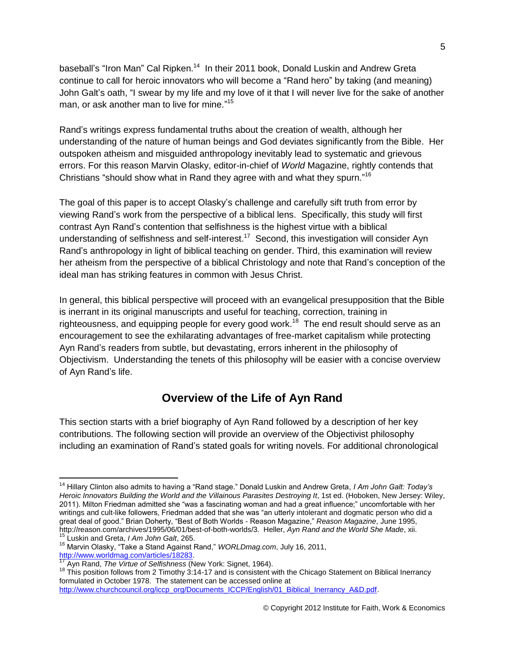baseball's "Iron Man" Cal Ripken.<sup>14</sup> In their 2011 book, Donald Luskin and Andrew Greta continue to call for heroic innovators who will become a "Rand hero" by taking (and meaning) John Galt's oath, "I swear by my life and my love of it that I will never live for the sake of another man, or ask another man to live for mine." 15

Rand's writings express fundamental truths about the creation of wealth, although her understanding of the nature of human beings and God deviates significantly from the Bible. Her outspoken atheism and misguided anthropology inevitably lead to systematic and grievous errors. For this reason Marvin Olasky, editor-in-chief of *World* Magazine, rightly contends that Christians "should show what in Rand they agree with and what they spurn."<sup>16</sup>

The goal of this paper is to accept Olasky's challenge and carefully sift truth from error by viewing Rand's work from the perspective of a biblical lens. Specifically, this study will first contrast Ayn Rand's contention that selfishness is the highest virtue with a biblical understanding of selfishness and self-interest.<sup>17</sup> Second, this investigation will consider Ayn Rand's anthropology in light of biblical teaching on gender. Third, this examination will review her atheism from the perspective of a biblical Christology and note that Rand's conception of the ideal man has striking features in common with Jesus Christ.

In general, this biblical perspective will proceed with an evangelical presupposition that the Bible is inerrant in its original manuscripts and useful for teaching, correction, training in righteousness, and equipping people for every good work.<sup>18</sup> The end result should serve as an encouragement to see the exhilarating advantages of free-market capitalism while protecting Ayn Rand's readers from subtle, but devastating, errors inherent in the philosophy of Objectivism. Understanding the tenets of this philosophy will be easier with a concise overview of Ayn Rand's life.

## **Overview of the Life of Ayn Rand**

This section starts with a brief biography of Ayn Rand followed by a description of her key contributions. The following section will provide an overview of the Objectivist philosophy including an examination of Rand's stated goals for writing novels. For additional chronological

<sup>14</sup> Hillary Clinton also admits to having a "Rand stage." Donald Luskin and Andrew Greta, *I Am John Galt: Today's*  Heroic Innovators Building the World and the Villainous Parasites Destroying It, 1st ed. (Hoboken, New Jersey: Wiley, 2011). Milton Friedman admitted she "was a fascinating woman and had a great influence;" uncomfortable with her writings and cult-like followers, Friedman added that she was "an utterly intolerant and dogmatic person who did a great deal of good." Brian Doherty, "Best of Both Worlds - Reason Magazine," *Reason Magazine*, June 1995, http://reason.com/archives/1995/06/01/best-of-both-worlds/3. Heller, *Ayn Rand and the World She Made*, xii.

<sup>15</sup> Luskin and Greta, *I Am John Galt*, 265. <sup>16</sup> Marvin Olasky, "Take a Stand Against Rand," *WORLDmag.com*, July 16, 2011,

[http://www.worldmag.com/articles/18283.](http://www.worldmag.com/articles/18283)

<sup>17</sup> Ayn Rand, *The Virtue of Selfishness* (New York: Signet, 1964).

<sup>&</sup>lt;sup>18</sup> This position follows from 2 Timothy 3:14-17 and is consistent with the Chicago Statement on Biblical Inerrancy formulated in October 1978. The statement can be accessed online at [http://www.churchcouncil.org/iccp\\_org/Documents\\_ICCP/English/01\\_Biblical\\_Inerrancy\\_A&D.pdf.](http://www.churchcouncil.org/iccp_org/Documents_ICCP/English/01_Biblical_Inerrancy_A&D.pdf)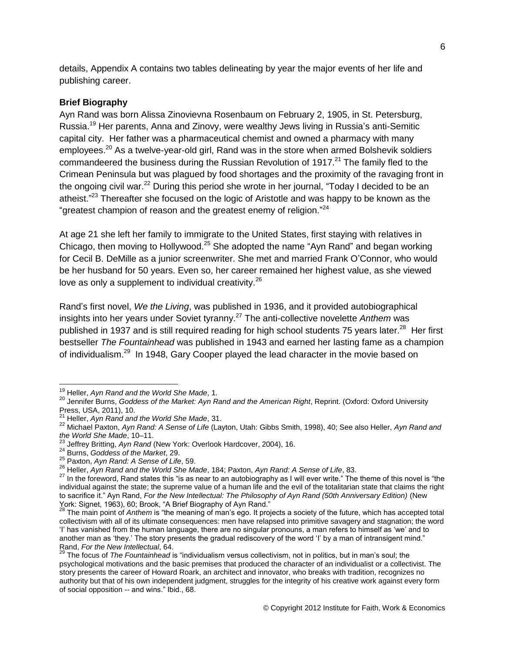details, Appendix A contains two tables delineating by year the major events of her life and publishing career.

#### **Brief Biography**

Ayn Rand was born Alissa Zinovievna Rosenbaum on February 2, 1905, in St. Petersburg, Russia.<sup>19</sup> Her parents, Anna and Zinovy, were wealthy Jews living in Russia's anti-Semitic capital city. Her father was a pharmaceutical chemist and owned a pharmacy with many employees.<sup>20</sup> As a twelve-year-old girl, Rand was in the store when armed Bolshevik soldiers commandeered the business during the Russian Revolution of 1917.<sup>21</sup> The family fled to the Crimean Peninsula but was plagued by food shortages and the proximity of the ravaging front in the ongoing civil war.<sup>22</sup> During this period she wrote in her journal, "Today I decided to be an atheist."<sup>23</sup> Thereafter she focused on the logic of Aristotle and was happy to be known as the "greatest champion of reason and the greatest enemy of religion."<sup>24</sup>

At age 21 she left her family to immigrate to the United States, first staying with relatives in Chicago, then moving to Hollywood.<sup>25</sup> She adopted the name "Ayn Rand" and began working for Cecil B. DeMille as a junior screenwriter. She met and married Frank O'Connor, who would be her husband for 50 years. Even so, her career remained her highest value, as she viewed love as only a supplement to individual creativity.<sup>26</sup>

Rand's first novel, *We the Living*, was published in 1936, and it provided autobiographical insights into her years under Soviet tyranny.<sup>27</sup> The anti-collective novelette *Anthem* was published in 1937 and is still required reading for high school students 75 years later.<sup>28</sup> Her first bestseller *The Fountainhead* was published in 1943 and earned her lasting fame as a champion of individualism.<sup>29</sup> In 1948, Gary Cooper played the lead character in the movie based on

<sup>19</sup> Heller, *Ayn Rand and the World She Made*, 1.

<sup>20</sup> Jennifer Burns, *Goddess of the Market: Ayn Rand and the American Right*, Reprint. (Oxford: Oxford University Press, USA, 2011), 10.

<sup>21</sup> Heller, *Ayn Rand and the World She Made*, 31.

<sup>22</sup> Michael Paxton, *Ayn Rand: A Sense of Life* (Layton, Utah: Gibbs Smith, 1998), 40; See also Heller, *Ayn Rand and the World She Made*, 10–11.<br><sup>23</sup> *Letters* F *the Made*, 10–11.

<sup>23</sup> Jeffrey Britting, *Ayn Rand* (New York: Overlook Hardcover, 2004), 16.

<sup>24</sup> Burns, *Goddess of the Market*, 29.

<sup>25</sup> Paxton, *Ayn Rand: A Sense of Life*, 59.

<sup>26</sup> Heller, *Ayn Rand and the World She Made*, 184; Paxton, *Ayn Rand: A Sense of Life*, 83.

<sup>&</sup>lt;sup>27</sup> In the foreword, Rand states this "is as near to an autobiography as I will ever write." The theme of this novel is "the individual against the state; the supreme value of a human life and the evil of the totalitarian state that claims the right to sacrifice it." Ayn Rand, *For the New Intellectual: The Philosophy of Ayn Rand (50th Anniversary Edition)* (New York: Signet, 1963), 60; Brook, "A Brief Biography of Ayn Rand."

<sup>28</sup> The main point of *Anthem* is "the meaning of man's ego. It projects a society of the future, which has accepted total collectivism with all of its ultimate consequences: men have relapsed into primitive savagery and stagnation; the word 'I' has vanished from the human language, there are no singular pronouns, a man refers to himself as 'we' and to another man as 'they.' The story presents the gradual rediscovery of the word 'I' by a man of intransigent mind." Rand, *For the New Intellectual*, 64.

<sup>&</sup>lt;sup>29</sup> The focus of *The Fountainhead* is "individualism versus collectivism, not in politics, but in man's soul; the psychological motivations and the basic premises that produced the character of an individualist or a collectivist. The story presents the career of Howard Roark, an architect and innovator, who breaks with tradition, recognizes no authority but that of his own independent judgment, struggles for the integrity of his creative work against every form of social opposition -- and wins." Ibid., 68.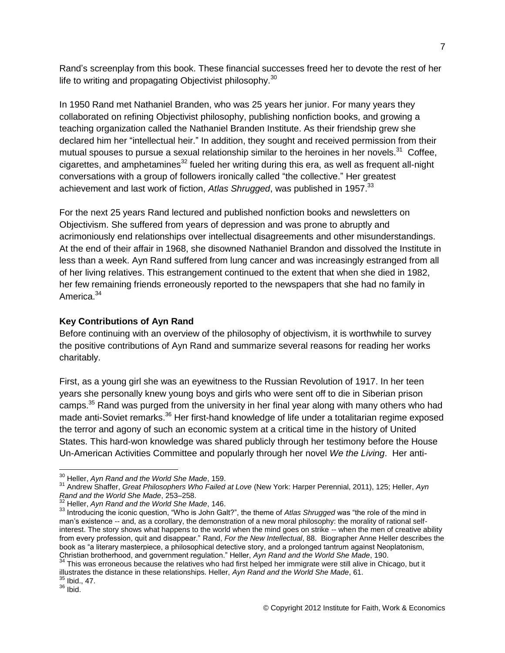Rand's screenplay from this book. These financial successes freed her to devote the rest of her life to writing and propagating Objectivist philosophy.<sup>30</sup>

In 1950 Rand met Nathaniel Branden, who was 25 years her junior. For many years they collaborated on refining Objectivist philosophy, publishing nonfiction books, and growing a teaching organization called the Nathaniel Branden Institute. As their friendship grew she declared him her "intellectual heir." In addition, they sought and received permission from their mutual spouses to pursue a sexual relationship similar to the heroines in her novels.<sup>31</sup> Coffee, cigarettes, and amphetamines<sup>32</sup> fueled her writing during this era, as well as frequent all-night conversations with a group of followers ironically called "the collective." Her greatest achievement and last work of fiction, *Atlas Shrugged*, was published in 1957.<sup>33</sup>

For the next 25 years Rand lectured and published nonfiction books and newsletters on Objectivism. She suffered from years of depression and was prone to abruptly and acrimoniously end relationships over intellectual disagreements and other misunderstandings. At the end of their affair in 1968, she disowned Nathaniel Brandon and dissolved the Institute in less than a week. Ayn Rand suffered from lung cancer and was increasingly estranged from all of her living relatives. This estrangement continued to the extent that when she died in 1982, her few remaining friends erroneously reported to the newspapers that she had no family in America.<sup>34</sup>

### **Key Contributions of Ayn Rand**

Before continuing with an overview of the philosophy of objectivism, it is worthwhile to survey the positive contributions of Ayn Rand and summarize several reasons for reading her works charitably.

First, as a young girl she was an eyewitness to the Russian Revolution of 1917. In her teen years she personally knew young boys and girls who were sent off to die in Siberian prison camps.<sup>35</sup> Rand was purged from the university in her final year along with many others who had made anti-Soviet remarks.<sup>36</sup> Her first-hand knowledge of life under a totalitarian regime exposed the terror and agony of such an economic system at a critical time in the history of United States. This hard-won knowledge was shared publicly through her testimony before the House Un-American Activities Committee and popularly through her novel *We the Living*. Her anti-

 $\overline{a}$ <sup>30</sup> Heller, *Ayn Rand and the World She Made*, 159.

<sup>31</sup> Andrew Shaffer, *Great Philosophers Who Failed at Love* (New York: Harper Perennial, 2011), 125; Heller, *Ayn Rand and the World She Made*, 253–258.

<sup>32</sup> Heller, *Ayn Rand and the World She Made*, 146.

<sup>&</sup>lt;sup>33</sup> Introducing the iconic question, "Who is John Galt?", the theme of *Atlas Shrugged* was "the role of the mind in man's existence -- and, as a corollary, the demonstration of a new moral philosophy: the morality of rational selfinterest. The story shows what happens to the world when the mind goes on strike -- when the men of creative ability from every profession, quit and disappear." Rand, *For the New Intellectual*, 88. Biographer Anne Heller describes the book as "a literary masterpiece, a philosophical detective story, and a prolonged tantrum against Neoplatonism, Christian brotherhood, and government regulation." Heller, *Ayn Rand and the World She Made*, 190.

 $34$  This was erroneous because the relatives who had first helped her immigrate were still alive in Chicago, but it illustrates the distance in these relationships. Heller, *Ayn Rand and the World She Made*, 61.

 $'$  Ibid., 47.

 $36$  Ibid.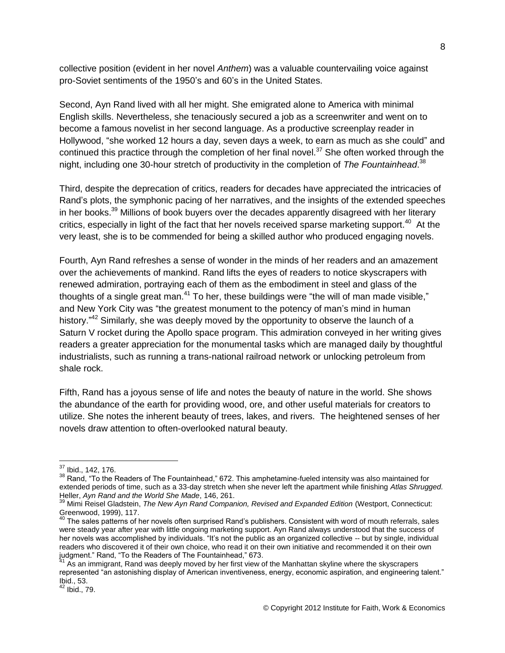collective position (evident in her novel *Anthem*) was a valuable countervailing voice against pro-Soviet sentiments of the 1950's and 60's in the United States.

Second, Ayn Rand lived with all her might. She emigrated alone to America with minimal English skills. Nevertheless, she tenaciously secured a job as a screenwriter and went on to become a famous novelist in her second language. As a productive screenplay reader in Hollywood, "she worked 12 hours a day, seven days a week, to earn as much as she could" and continued this practice through the completion of her final novel. $37$  She often worked through the night, including one 30-hour stretch of productivity in the completion of *The Fountainhead*. 38

Third, despite the deprecation of critics, readers for decades have appreciated the intricacies of Rand's plots, the symphonic pacing of her narratives, and the insights of the extended speeches in her books.<sup>39</sup> Millions of book buyers over the decades apparently disagreed with her literary critics, especially in light of the fact that her novels received sparse marketing support.<sup>40</sup> At the very least, she is to be commended for being a skilled author who produced engaging novels.

Fourth, Ayn Rand refreshes a sense of wonder in the minds of her readers and an amazement over the achievements of mankind. Rand lifts the eyes of readers to notice skyscrapers with renewed admiration, portraying each of them as the embodiment in steel and glass of the thoughts of a single great man.<sup>41</sup> To her, these buildings were "the will of man made visible," and New York City was "the greatest monument to the potency of man's mind in human history."<sup>42</sup> Similarly, she was deeply moved by the opportunity to observe the launch of a Saturn V rocket during the Apollo space program. This admiration conveyed in her writing gives readers a greater appreciation for the monumental tasks which are managed daily by thoughtful industrialists, such as running a trans-national railroad network or unlocking petroleum from shale rock.

Fifth, Rand has a joyous sense of life and notes the beauty of nature in the world. She shows the abundance of the earth for providing wood, ore, and other useful materials for creators to utilize. She notes the inherent beauty of trees, lakes, and rivers. The heightened senses of her novels draw attention to often-overlooked natural beauty.

 $37$  Ibid., 142, 176.

<sup>38</sup> Rand, "To the Readers of The Fountainhead," 672. This amphetamine-fueled intensity was also maintained for extended periods of time, such as a 33-day stretch when she never left the apartment while finishing *Atlas Shrugged.* Heller, *Ayn Rand and the World She Made*, 146, 261.

<sup>39</sup> Mimi Reisel Gladstein, *The New Ayn Rand Companion, Revised and Expanded Edition* (Westport, Connecticut: Greenwood, 1999), 117.

 $^{40}$  The sales patterns of her novels often surprised Rand's publishers. Consistent with word of mouth referrals, sales were steady year after year with little ongoing marketing support. Ayn Rand always understood that the success of her novels was accomplished by individuals. "It's not the public as an organized collective -- but by single, individual readers who discovered it of their own choice, who read it on their own initiative and recommended it on their own judgment." Rand, "To the Readers of The Fountainhead," 673.

 $41$  As an immigrant, Rand was deeply moved by her first view of the Manhattan skyline where the skyscrapers represented "an astonishing display of American inventiveness, energy, economic aspiration, and engineering talent." Ibid., 53.

**Ibid., 79.**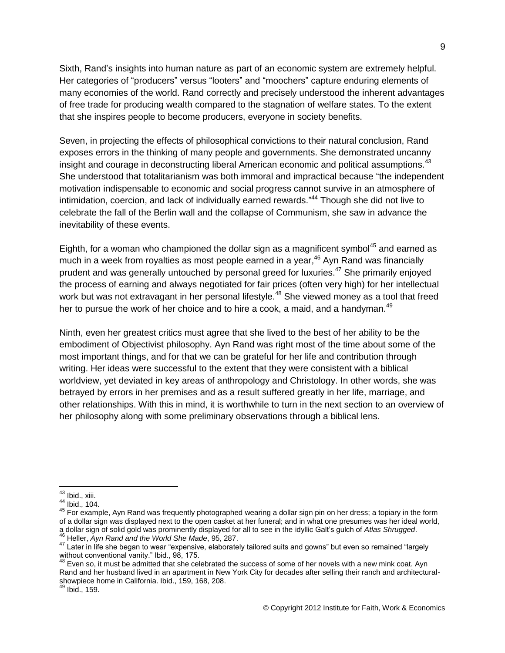Sixth, Rand's insights into human nature as part of an economic system are extremely helpful. Her categories of "producers" versus "looters" and "moochers" capture enduring elements of many economies of the world. Rand correctly and precisely understood the inherent advantages of free trade for producing wealth compared to the stagnation of welfare states. To the extent that she inspires people to become producers, everyone in society benefits.

Seven, in projecting the effects of philosophical convictions to their natural conclusion, Rand exposes errors in the thinking of many people and governments. She demonstrated uncanny insight and courage in deconstructing liberal American economic and political assumptions.<sup>43</sup> She understood that totalitarianism was both immoral and impractical because "the independent motivation indispensable to economic and social progress cannot survive in an atmosphere of intimidation, coercion, and lack of individually earned rewards."<sup>44</sup> Though she did not live to celebrate the fall of the Berlin wall and the collapse of Communism, she saw in advance the inevitability of these events.

Eighth, for a woman who championed the dollar sign as a magnificent symbol<sup>45</sup> and earned as much in a week from royalties as most people earned in a year,<sup>46</sup> Ayn Rand was financially prudent and was generally untouched by personal greed for luxuries.<sup>47</sup> She primarily enjoyed the process of earning and always negotiated for fair prices (often very high) for her intellectual work but was not extravagant in her personal lifestyle.<sup>48</sup> She viewed money as a tool that freed her to pursue the work of her choice and to hire a cook, a maid, and a handyman.<sup>49</sup>

Ninth, even her greatest critics must agree that she lived to the best of her ability to be the embodiment of Objectivist philosophy. Ayn Rand was right most of the time about some of the most important things, and for that we can be grateful for her life and contribution through writing. Her ideas were successful to the extent that they were consistent with a biblical worldview, yet deviated in key areas of anthropology and Christology. In other words, she was betrayed by errors in her premises and as a result suffered greatly in her life, marriage, and other relationships. With this in mind, it is worthwhile to turn in the next section to an overview of her philosophy along with some preliminary observations through a biblical lens.

 $\overline{a}$ <sup>43</sup> Ibid., xiii.

 $44$  Ibid., 104.

<sup>45</sup> For example, Ayn Rand was frequently photographed wearing a dollar sign pin on her dress; a topiary in the form of a dollar sign was displayed next to the open casket at her funeral; and in what one presumes was her ideal world, a dollar sign of solid gold was prominently displayed for all to see in the idyllic Galt's gulch of *Atlas Shrugged*. <sup>46</sup> Heller, *Ayn Rand and the World She Made*, 95, 287.

<sup>47</sup> Later in life she began to wear "expensive, elaborately tailored suits and gowns" but even so remained "largely without conventional vanity." Ibid., 98, 175.

<sup>&</sup>lt;sup>48</sup> Even so, it must be admitted that she celebrated the success of some of her novels with a new mink coat. Ayn Rand and her husband lived in an apartment in New York City for decades after selling their ranch and architecturalshowpiece home in California. Ibid., 159, 168, 208.

Ibid., 159.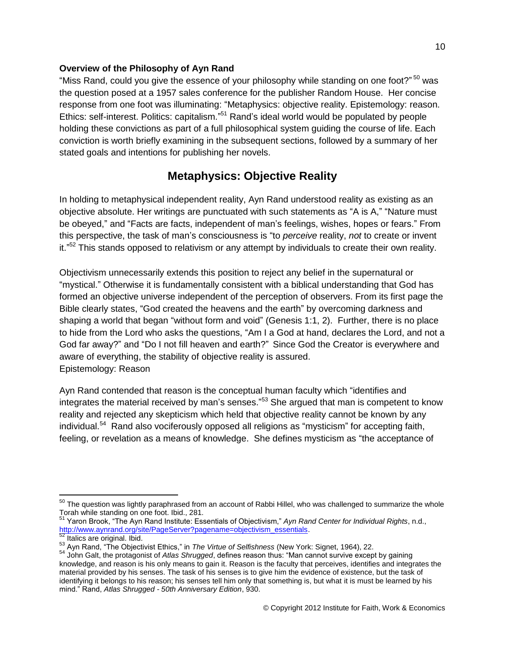### **Overview of the Philosophy of Ayn Rand**

"Miss Rand, could you give the essence of your philosophy while standing on one foot?" <sup>50</sup> was the question posed at a 1957 sales conference for the publisher Random House. Her concise response from one foot was illuminating: "Metaphysics: objective reality. Epistemology: reason. Ethics: self-interest. Politics: capitalism."<sup>51</sup> Rand's ideal world would be populated by people holding these convictions as part of a full philosophical system guiding the course of life. Each conviction is worth briefly examining in the subsequent sections, followed by a summary of her stated goals and intentions for publishing her novels.

## **Metaphysics: Objective Reality**

In holding to metaphysical independent reality, Ayn Rand understood reality as existing as an objective absolute. Her writings are punctuated with such statements as "A is A," "Nature must be obeyed," and "Facts are facts, independent of man's feelings, wishes, hopes or fears." From this perspective, the task of man's consciousness is "to *perceive* reality, *not* to create or invent it."<sup>52</sup> This stands opposed to relativism or any attempt by individuals to create their own reality.

Objectivism unnecessarily extends this position to reject any belief in the supernatural or "mystical." Otherwise it is fundamentally consistent with a biblical understanding that God has formed an objective universe independent of the perception of observers. From its first page the Bible clearly states, "God created the heavens and the earth" by overcoming darkness and shaping a world that began "without form and void" (Genesis 1:1, 2). Further, there is no place to hide from the Lord who asks the questions, "Am I a God at hand, declares the Lord, and not a God far away?" and "Do I not fill heaven and earth?" Since God the Creator is everywhere and aware of everything, the stability of objective reality is assured. Epistemology: Reason

Ayn Rand contended that reason is the conceptual human faculty which "identifies and integrates the material received by man's senses."<sup>53</sup> She argued that man is competent to know reality and rejected any skepticism which held that objective reality cannot be known by any individual.<sup>54</sup> Rand also vociferously opposed all religions as "mysticism" for accepting faith, feeling, or revelation as a means of knowledge. She defines mysticism as "the acceptance of

 $\overline{a}$  $^{50}$  The question was lightly paraphrased from an account of Rabbi Hillel, who was challenged to summarize the whole Torah while standing on one foot. Ibid., 281.

<sup>51</sup> Yaron Brook, "The Ayn Rand Institute: Essentials of Objectivism," *Ayn Rand Center for Individual Rights*, n.d., [http://www.aynrand.org/site/PageServer?pagename=objectivism\\_essentials.](http://www.aynrand.org/site/PageServer?pagename=objectivism_essentials) <sup>52</sup> Italics are original. Ibid.

<sup>53</sup> Ayn Rand, "The Objectivist Ethics," in *The Virtue of Selfishness* (New York: Signet, 1964), 22.

<sup>54</sup> John Galt, the protagonist of *Atlas Shrugged*, defines reason thus: "Man cannot survive except by gaining knowledge, and reason is his only means to gain it. Reason is the faculty that perceives, identifies and integrates the material provided by his senses. The task of his senses is to give him the evidence of existence, but the task of identifying it belongs to his reason; his senses tell him only that something is, but what it is must be learned by his mind." Rand, *Atlas Shrugged - 50th Anniversary Edition*, 930.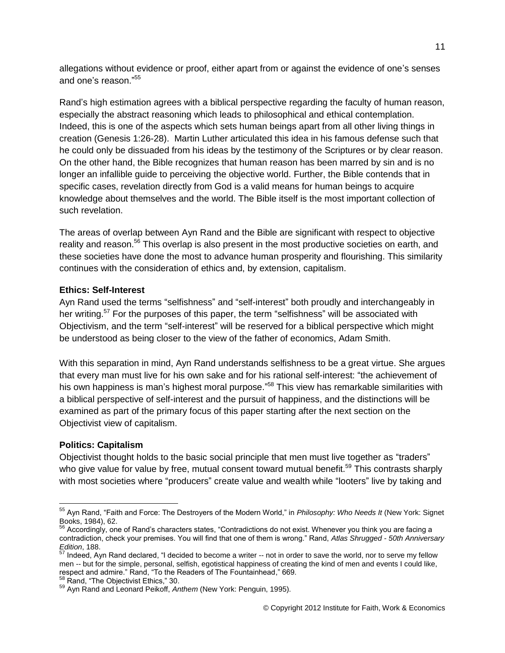allegations without evidence or proof, either apart from or against the evidence of one's senses and one's reason." 55

Rand's high estimation agrees with a biblical perspective regarding the faculty of human reason, especially the abstract reasoning which leads to philosophical and ethical contemplation. Indeed, this is one of the aspects which sets human beings apart from all other living things in creation (Genesis 1:26-28). Martin Luther articulated this idea in his famous defense such that he could only be dissuaded from his ideas by the testimony of the Scriptures or by clear reason. On the other hand, the Bible recognizes that human reason has been marred by sin and is no longer an infallible guide to perceiving the objective world. Further, the Bible contends that in specific cases, revelation directly from God is a valid means for human beings to acquire knowledge about themselves and the world. The Bible itself is the most important collection of such revelation.

The areas of overlap between Ayn Rand and the Bible are significant with respect to objective reality and reason.<sup>56</sup> This overlap is also present in the most productive societies on earth, and these societies have done the most to advance human prosperity and flourishing. This similarity continues with the consideration of ethics and, by extension, capitalism.

#### **Ethics: Self-Interest**

Ayn Rand used the terms "selfishness" and "self-interest" both proudly and interchangeably in her writing.<sup>57</sup> For the purposes of this paper, the term "selfishness" will be associated with Objectivism, and the term "self-interest" will be reserved for a biblical perspective which might be understood as being closer to the view of the father of economics, Adam Smith.

With this separation in mind, Ayn Rand understands selfishness to be a great virtue. She argues that every man must live for his own sake and for his rational self-interest: "the achievement of his own happiness is man's highest moral purpose."<sup>58</sup> This view has remarkable similarities with a biblical perspective of self-interest and the pursuit of happiness, and the distinctions will be examined as part of the primary focus of this paper starting after the next section on the Objectivist view of capitalism.

### **Politics: Capitalism**

 $\overline{a}$ 

Objectivist thought holds to the basic social principle that men must live together as "traders" who give value for value by free, mutual consent toward mutual benefit.<sup>59</sup> This contrasts sharply with most societies where "producers" create value and wealth while "looters" live by taking and

<sup>55</sup> Ayn Rand, "Faith and Force: The Destroyers of the Modern World," in *Philosophy: Who Needs It* (New York: Signet Books, 1984), 62.

 $56$  Accordingly, one of Rand's characters states, "Contradictions do not exist. Whenever you think you are facing a contradiction, check your premises. You will find that one of them is wrong." Rand, *Atlas Shrugged - 50th Anniversary Edition*, 188.

 $57$  Indeed, Ayn Rand declared, "I decided to become a writer -- not in order to save the world, nor to serve my fellow men -- but for the simple, personal, selfish, egotistical happiness of creating the kind of men and events I could like, respect and admire." Rand, "To the Readers of The Fountainhead," 669.

<sup>&</sup>lt;sup>58</sup> Rand, "The Objectivist Ethics," 30.

<sup>59</sup> Ayn Rand and Leonard Peikoff, *Anthem* (New York: Penguin, 1995).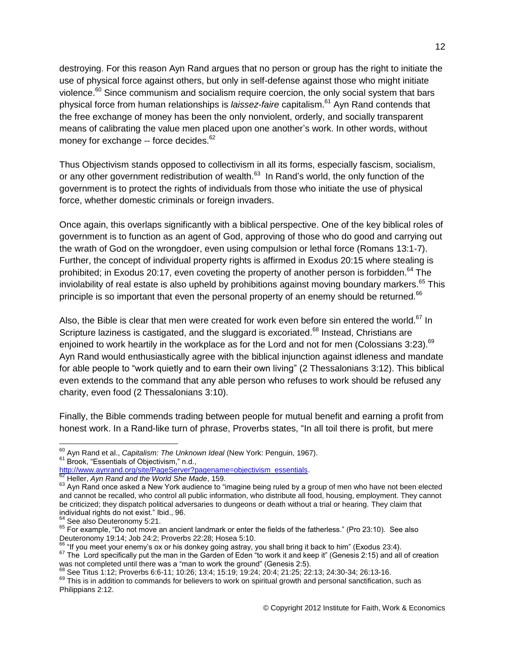destroying. For this reason Ayn Rand argues that no person or group has the right to initiate the use of physical force against others, but only in self-defense against those who might initiate violence.<sup>60</sup> Since communism and socialism require coercion, the only social system that bars physical force from human relationships is *laissez-faire* capitalism.<sup>61</sup> Ayn Rand contends that the free exchange of money has been the only nonviolent, orderly, and socially transparent means of calibrating the value men placed upon one another's work. In other words, without money for exchange -- force decides.<sup>62</sup>

Thus Objectivism stands opposed to collectivism in all its forms, especially fascism, socialism, or any other government redistribution of wealth.<sup>63</sup> In Rand's world, the only function of the government is to protect the rights of individuals from those who initiate the use of physical force, whether domestic criminals or foreign invaders.

Once again, this overlaps significantly with a biblical perspective. One of the key biblical roles of government is to function as an agent of God, approving of those who do good and carrying out the wrath of God on the wrongdoer, even using compulsion or lethal force (Romans 13:1-7). Further, the concept of individual property rights is affirmed in Exodus 20:15 where stealing is prohibited; in Exodus 20:17, even coveting the property of another person is forbidden.<sup>64</sup> The inviolability of real estate is also upheld by prohibitions against moving boundary markers. $65$  This principle is so important that even the personal property of an enemy should be returned.<sup>66</sup>

Also, the Bible is clear that men were created for work even before sin entered the world.<sup>67</sup> In Scripture laziness is castigated, and the sluggard is excoriated.<sup>68</sup> Instead, Christians are enjoined to work heartily in the workplace as for the Lord and not for men (Colossians 3:23).<sup>69</sup> Ayn Rand would enthusiastically agree with the biblical injunction against idleness and mandate for able people to "work quietly and to earn their own living" (2 Thessalonians 3:12). This biblical even extends to the command that any able person who refuses to work should be refused any charity, even food (2 Thessalonians 3:10).

Finally, the Bible commends trading between people for mutual benefit and earning a profit from honest work. In a Rand-like turn of phrase, Proverbs states, "In all toil there is profit, but mere

 $\overline{a}$ 

 $66$  "If you meet your enemy's ox or his donkey going astray, you shall bring it back to him" (Exodus 23:4).

<sup>60</sup> Ayn Rand et al., *Capitalism: The Unknown Ideal* (New York: Penguin, 1967). <sup>61</sup> Brook, "Essentials of Objectivism," n.d.,

[http://www.aynrand.org/site/PageServer?pagename=objectivism\\_essentials.](http://www.aynrand.org/site/PageServer?pagename=objectivism_essentials)

<sup>62</sup> Heller, *Ayn Rand and the World She Made*, 159.

<sup>63</sup> Ayn Rand once asked a New York audience to "imagine being ruled by a group of men who have not been elected and cannot be recalled, who control all public information, who distribute all food, housing, employment. They cannot be criticized; they dispatch political adversaries to dungeons or death without a trial or hearing. They claim that individual rights do not exist." Ibid., 96.

<sup>&</sup>lt;sup>64</sup> See also Deuteronomy 5:21.

<sup>65</sup> For example, "Do not move an ancient landmark or enter the fields of the fatherless." (Pro 23:10). See also Deuteronomy 19:14; Job 24:2; Proverbs 22:28; Hosea 5:10.

<sup>&</sup>lt;sup>67</sup> The Lord specifically put the man in the Garden of Eden "to work it and keep it" (Genesis 2:15) and all of creation was not completed until there was a "man to work the ground" (Genesis 2:5).

<sup>68</sup> See Titus 1:12; Proverbs 6:6-11; 10:26; 13:4; 15:19; 19:24; 20:4; 21:25; 22:13; 24:30-34; 26:13-16.

 $69$  This is in addition to commands for believers to work on spiritual growth and personal sanctification, such as Philippians 2:12.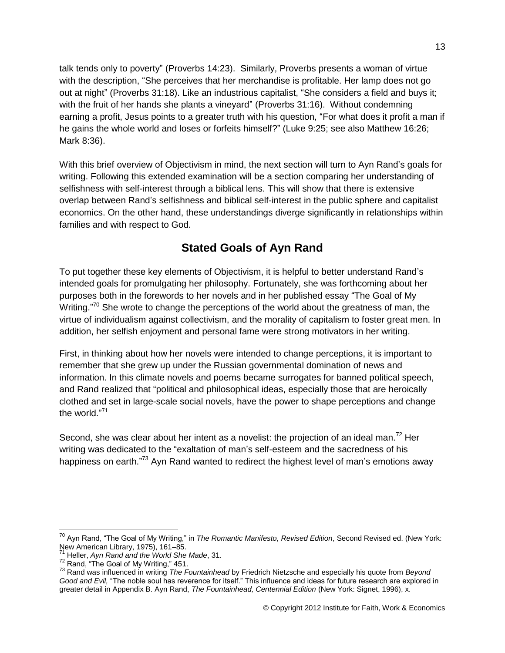talk tends only to poverty" (Proverbs 14:23). Similarly, Proverbs presents a woman of virtue with the description, "She perceives that her merchandise is profitable. Her lamp does not go out at night" (Proverbs 31:18). Like an industrious capitalist, "She considers a field and buys it; with the fruit of her hands she plants a vineyard" (Proverbs 31:16). Without condemning earning a profit, Jesus points to a greater truth with his question, "For what does it profit a man if he gains the whole world and loses or forfeits himself?" (Luke 9:25; see also Matthew 16:26; Mark 8:36).

With this brief overview of Objectivism in mind, the next section will turn to Ayn Rand's goals for writing. Following this extended examination will be a section comparing her understanding of selfishness with self-interest through a biblical lens. This will show that there is extensive overlap between Rand's selfishness and biblical self-interest in the public sphere and capitalist economics. On the other hand, these understandings diverge significantly in relationships within families and with respect to God.

## **Stated Goals of Ayn Rand**

To put together these key elements of Objectivism, it is helpful to better understand Rand's intended goals for promulgating her philosophy. Fortunately, she was forthcoming about her purposes both in the forewords to her novels and in her published essay "The Goal of My Writing."<sup>70</sup> She wrote to change the perceptions of the world about the greatness of man, the virtue of individualism against collectivism, and the morality of capitalism to foster great men. In addition, her selfish enjoyment and personal fame were strong motivators in her writing.

First, in thinking about how her novels were intended to change perceptions, it is important to remember that she grew up under the Russian governmental domination of news and information. In this climate novels and poems became surrogates for banned political speech, and Rand realized that "political and philosophical ideas, especially those that are heroically clothed and set in large-scale social novels, have the power to shape perceptions and change the world."<sup>71</sup>

Second, she was clear about her intent as a novelist: the projection of an ideal man.<sup>72</sup> Her writing was dedicated to the "exaltation of man's self-esteem and the sacredness of his happiness on earth."<sup>73</sup> Ayn Rand wanted to redirect the highest level of man's emotions away

<sup>70</sup> Ayn Rand, "The Goal of My Writing," in *The Romantic Manifesto, Revised Edition*, Second Revised ed. (New York: New American Library, 1975), 161–85.

<sup>71</sup> Heller, *Ayn Rand and the World She Made*, 31.

<sup>&</sup>lt;sup>72</sup> Rand, "The Goal of My Writing," 451.

<sup>73</sup> Rand was influenced in writing *The Fountainhead* by Friedrich Nietzsche and especially his quote from *Beyond Good and Evil,* "The noble soul has reverence for itself." This influence and ideas for future research are explored in greater detail in Appendix B. Ayn Rand, *The Fountainhead, Centennial Edition* (New York: Signet, 1996), x.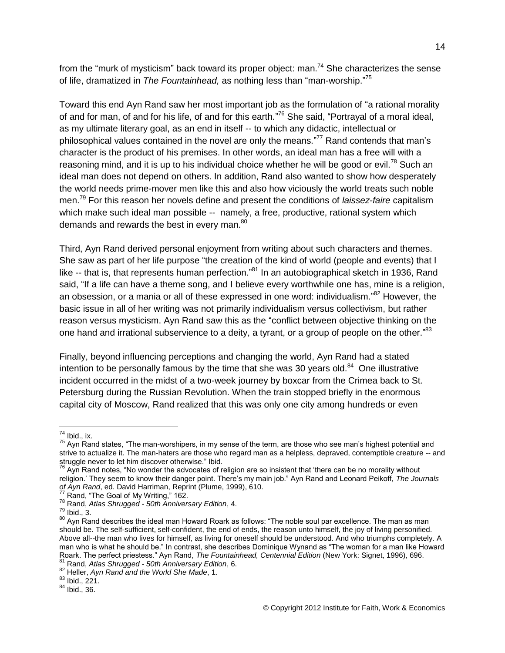from the "murk of mysticism" back toward its proper object: man.<sup>74</sup> She characterizes the sense of life, dramatized in *The Fountainhead,* as nothing less than "man-worship." 75

Toward this end Ayn Rand saw her most important job as the formulation of "a rational morality of and for man, of and for his life, of and for this earth."<sup>76</sup> She said, "Portrayal of a moral ideal, as my ultimate literary goal, as an end in itself -- to which any didactic, intellectual or philosophical values contained in the novel are only the means."<sup>77</sup> Rand contends that man's character is the product of his premises. In other words, an ideal man has a free will with a reasoning mind, and it is up to his individual choice whether he will be good or evil.<sup>78</sup> Such an ideal man does not depend on others. In addition, Rand also wanted to show how desperately the world needs prime-mover men like this and also how viciously the world treats such noble men.<sup>79</sup> For this reason her novels define and present the conditions of *laissez-faire* capitalism which make such ideal man possible -- namely, a free, productive, rational system which demands and rewards the best in every man.<sup>80</sup>

Third, Ayn Rand derived personal enjoyment from writing about such characters and themes. She saw as part of her life purpose "the creation of the kind of world (people and events) that I like -- that is, that represents human perfection."<sup>81</sup> In an autobiographical sketch in 1936, Rand said, "If a life can have a theme song, and I believe every worthwhile one has, mine is a religion, an obsession, or a mania or all of these expressed in one word: individualism." <sup>82</sup> However, the basic issue in all of her writing was not primarily individualism versus collectivism, but rather reason versus mysticism. Ayn Rand saw this as the "conflict between objective thinking on the one hand and irrational subservience to a deity, a tyrant, or a group of people on the other."<sup>83</sup>

Finally, beyond influencing perceptions and changing the world, Ayn Rand had a stated intention to be personally famous by the time that she was 30 years old. $^{84}$  One illustrative incident occurred in the midst of a two-week journey by boxcar from the Crimea back to St. Petersburg during the Russian Revolution. When the train stopped briefly in the enormous capital city of Moscow, Rand realized that this was only one city among hundreds or even

 $74$  Ibid., ix.

 $^{75}$  Ayn Rand states, "The man-worshipers, in my sense of the term, are those who see man's highest potential and strive to actualize it. The man-haters are those who regard man as a helpless, depraved, contemptible creature -- and struggle never to let him discover otherwise." Ibid.

 $^{76}$  Ayn Rand notes, "No wonder the advocates of religion are so insistent that 'there can be no morality without religion.' They seem to know their danger point. There's my main job." Ayn Rand and Leonard Peikoff, *The Journals of Ayn Rand*, ed. David Harriman, Reprint (Plume, 1999), 610.

<sup>&</sup>lt;sup>77</sup> Rand, "The Goal of My Writing," 162.

<sup>78</sup> Rand, *Atlas Shrugged - 50th Anniversary Edition*, 4.

 $79$  Ibid., 3.

<sup>80</sup> Ayn Rand describes the ideal man Howard Roark as follows: "The noble soul par excellence. The man as man should be. The self-sufficient, self-confident, the end of ends, the reason unto himself, the joy of living personified. Above all--the man who lives for himself, as living for oneself should be understood. And who triumphs completely. A man who is what he should be." In contrast, she describes Dominique Wynand as "The woman for a man like Howard Roark. The perfect priestess." Ayn Rand, *The Fountainhead, Centennial Edition* (New York: Signet, 1996), 696. <sup>81</sup> Rand, *Atlas Shrugged - 50th Anniversary Edition*, 6.

<sup>82</sup> Heller, *Ayn Rand and the World She Made*, 1.

<sup>83</sup> Ibid., 221.

 $84$  Ibid., 36.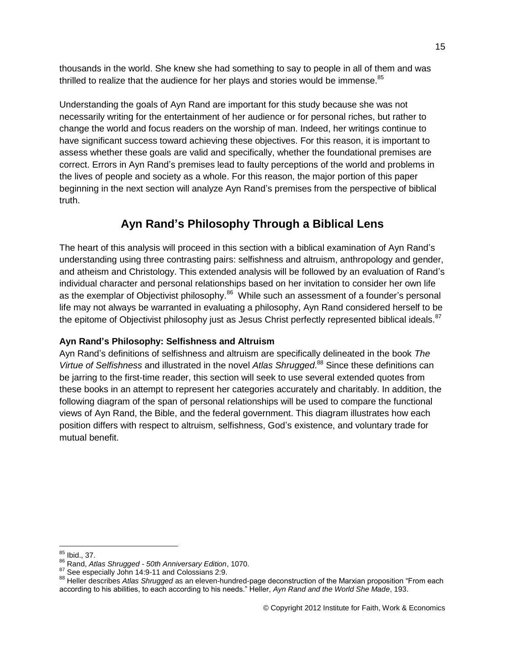thousands in the world. She knew she had something to say to people in all of them and was thrilled to realize that the audience for her plays and stories would be immense.<sup>85</sup>

Understanding the goals of Ayn Rand are important for this study because she was not necessarily writing for the entertainment of her audience or for personal riches, but rather to change the world and focus readers on the worship of man. Indeed, her writings continue to have significant success toward achieving these objectives. For this reason, it is important to assess whether these goals are valid and specifically, whether the foundational premises are correct. Errors in Ayn Rand's premises lead to faulty perceptions of the world and problems in the lives of people and society as a whole. For this reason, the major portion of this paper beginning in the next section will analyze Ayn Rand's premises from the perspective of biblical truth.

## **Ayn Rand's Philosophy Through a Biblical Lens**

The heart of this analysis will proceed in this section with a biblical examination of Ayn Rand's understanding using three contrasting pairs: selfishness and altruism, anthropology and gender, and atheism and Christology. This extended analysis will be followed by an evaluation of Rand's individual character and personal relationships based on her invitation to consider her own life as the exemplar of Objectivist philosophy.<sup>86</sup> While such an assessment of a founder's personal life may not always be warranted in evaluating a philosophy, Ayn Rand considered herself to be the epitome of Objectivist philosophy just as Jesus Christ perfectly represented biblical ideals.<sup>87</sup>

## **Ayn Rand's Philosophy: Selfishness and Altruism**

Ayn Rand's definitions of selfishness and altruism are specifically delineated in the book *The Virtue of Selfishness* and illustrated in the novel *Atlas Shrugged*. <sup>88</sup> Since these definitions can be jarring to the first-time reader, this section will seek to use several extended quotes from these books in an attempt to represent her categories accurately and charitably. In addition, the following diagram of the span of personal relationships will be used to compare the functional views of Ayn Rand, the Bible, and the federal government. This diagram illustrates how each position differs with respect to altruism, selfishness, God's existence, and voluntary trade for mutual benefit.

 $\overline{a}$  $85$  Ibid., 37.

<sup>86</sup> Rand, *Atlas Shrugged - 50th Anniversary Edition*, 1070.

<sup>87</sup> See especially John 14:9-11 and Colossians 2:9.

<sup>88</sup> Heller describes *Atlas Shrugged* as an eleven-hundred-page deconstruction of the Marxian proposition "From each according to his abilities, to each according to his needs." Heller, *Ayn Rand and the World She Made*, 193.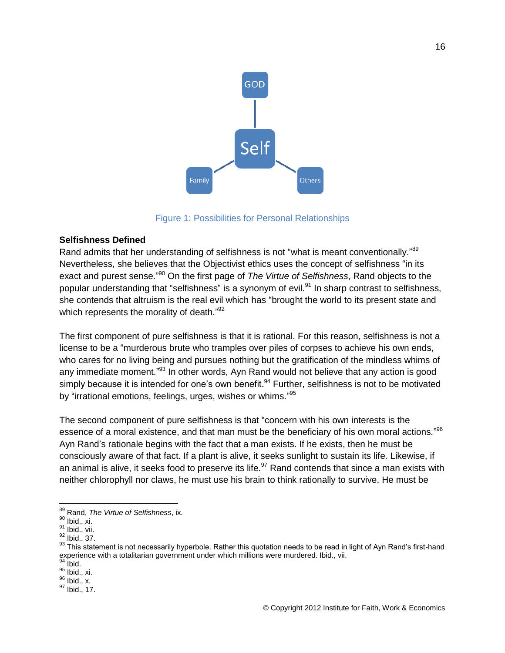

Figure 1: Possibilities for Personal Relationships

#### **Selfishness Defined**

Rand admits that her understanding of selfishness is not "what is meant conventionally."<sup>89</sup> Nevertheless, she believes that the Objectivist ethics uses the concept of selfishness "in its exact and purest sense." <sup>90</sup> On the first page of *The Virtue of Selfishness*, Rand objects to the popular understanding that "selfishness" is a synonym of evil.<sup>91</sup> In sharp contrast to selfishness, she contends that altruism is the real evil which has "brought the world to its present state and which represents the morality of death."<sup>92</sup>

The first component of pure selfishness is that it is rational. For this reason, selfishness is not a license to be a "murderous brute who tramples over piles of corpses to achieve his own ends, who cares for no living being and pursues nothing but the gratification of the mindless whims of any immediate moment."<sup>93</sup> In other words, Ayn Rand would not believe that any action is good simply because it is intended for one's own benefit.<sup>94</sup> Further, selfishness is not to be motivated by "irrational emotions, feelings, urges, wishes or whims."<sup>95</sup>

The second component of pure selfishness is that "concern with his own interests is the essence of a moral existence, and that man must be the beneficiary of his own moral actions."<sup>96</sup> Ayn Rand's rationale begins with the fact that a man exists. If he exists, then he must be consciously aware of that fact. If a plant is alive, it seeks sunlight to sustain its life. Likewise, if an animal is alive, it seeks food to preserve its life.<sup>97</sup> Rand contends that since a man exists with neither chlorophyll nor claws, he must use his brain to think rationally to survive. He must be

 $\overline{a}$ <sup>89</sup> Rand, *The Virtue of Selfishness*, ix.

 $90$  Ibid., xi.

<sup>&</sup>lt;sup>91</sup> Ibid., vii.

 $92$  Ibid., 37.

<sup>93</sup> This statement is not necessarily hyperbole. Rather this quotation needs to be read in light of Ayn Rand's first-hand experience with a totalitarian government under which millions were murdered. Ibid., vii.

 $94$  Ibid.

<sup>95</sup> Ibid., xi.

 $96$  Ibid., x.

<sup>97</sup> Ibid., 17.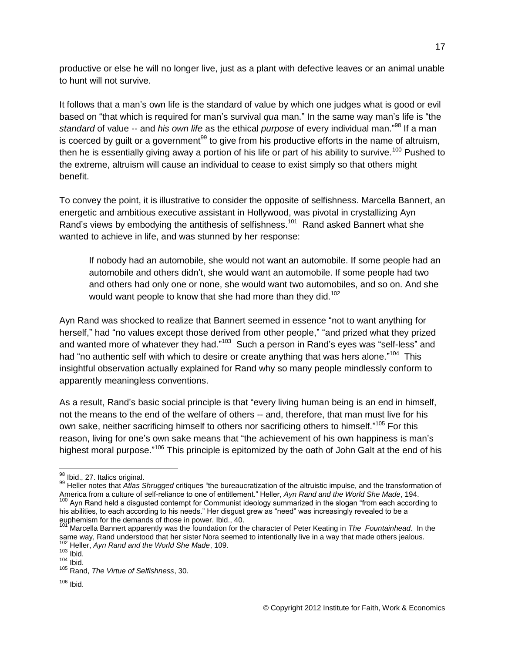productive or else he will no longer live, just as a plant with defective leaves or an animal unable to hunt will not survive.

It follows that a man's own life is the standard of value by which one judges what is good or evil based on "that which is required for man's survival *qua* man." In the same way man's life is "the *standard* of value -- and *his own life* as the ethical *purpose* of every individual man." <sup>98</sup> If a man is coerced by guilt or a government<sup>99</sup> to give from his productive efforts in the name of altruism, then he is essentially giving away a portion of his life or part of his ability to survive.<sup>100</sup> Pushed to the extreme, altruism will cause an individual to cease to exist simply so that others might benefit.

To convey the point, it is illustrative to consider the opposite of selfishness. Marcella Bannert, an energetic and ambitious executive assistant in Hollywood, was pivotal in crystallizing Ayn Rand's views by embodying the antithesis of selfishness.<sup>101</sup> Rand asked Bannert what she wanted to achieve in life, and was stunned by her response:

If nobody had an automobile, she would not want an automobile. If some people had an automobile and others didn't, she would want an automobile. If some people had two and others had only one or none, she would want two automobiles, and so on. And she would want people to know that she had more than they did.<sup>102</sup>

Ayn Rand was shocked to realize that Bannert seemed in essence "not to want anything for herself," had "no values except those derived from other people," "and prized what they prized and wanted more of whatever they had."<sup>103</sup> Such a person in Rand's eyes was "self-less" and had "no authentic self with which to desire or create anything that was hers alone."<sup>104</sup> This insightful observation actually explained for Rand why so many people mindlessly conform to apparently meaningless conventions.

As a result, Rand's basic social principle is that "every living human being is an end in himself, not the means to the end of the welfare of others -- and, therefore, that man must live for his own sake, neither sacrificing himself to others nor sacrificing others to himself."<sup>105</sup> For this reason, living for one's own sake means that "the achievement of his own happiness is man's highest moral purpose."<sup>106</sup> This principle is epitomized by the oath of John Galt at the end of his

euphemism for the demands of those in power. Ibid., 40.

<sup>&</sup>lt;sup>98</sup> Ibid., 27. Italics original.

<sup>99</sup> Heller notes that *Atlas Shrugged* critiques "the bureaucratization of the altruistic impulse, and the transformation of America from a culture of self-reliance to one of entitlement." Heller, *Ayn Rand and the World She Made*, 194. <sup>100</sup> Ayn Rand held a disgusted contempt for Communist ideology summarized in the slogan "from each according to his abilities, to each according to his needs." Her disgust grew as "need" was increasingly revealed to be a

<sup>101</sup> Marcella Bannert apparently was the foundation for the character of Peter Keating in *The Fountainhead*. In the same way, Rand understood that her sister Nora seemed to intentionally live in a way that made others jealous. <sup>102</sup> Heller, *Ayn Rand and the World She Made*, 109.

 $103$  Ibid.

 $104$  Ibid.

<sup>105</sup> Rand, *The Virtue of Selfishness*, 30.

 $106$  Ibid.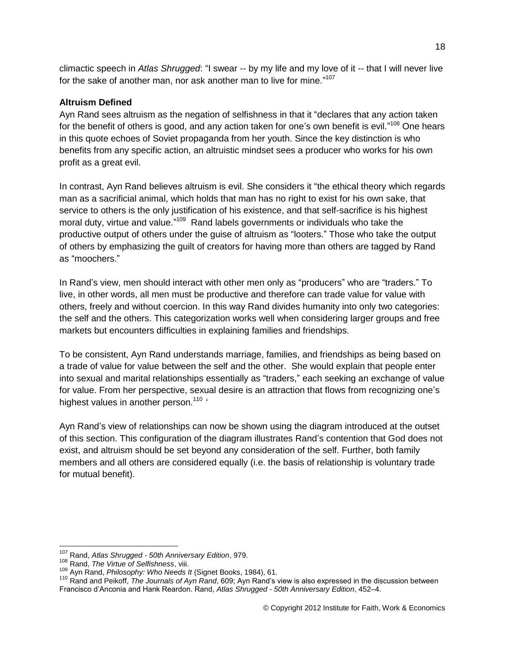climactic speech in *Atlas Shrugged*: "I swear -- by my life and my love of it -- that I will never live for the sake of another man, nor ask another man to live for mine."<sup>107</sup>

#### **Altruism Defined**

Ayn Rand sees altruism as the negation of selfishness in that it "declares that any action taken for the benefit of others is good, and any action taken for one's own benefit is evil."<sup>108</sup> One hears in this quote echoes of Soviet propaganda from her youth. Since the key distinction is who benefits from any specific action, an altruistic mindset sees a producer who works for his own profit as a great evil.

In contrast, Ayn Rand believes altruism is evil. She considers it "the ethical theory which regards man as a sacrificial animal, which holds that man has no right to exist for his own sake, that service to others is the only justification of his existence, and that self-sacrifice is his highest moral duty, virtue and value."<sup>109</sup> Rand labels governments or individuals who take the productive output of others under the guise of altruism as "looters." Those who take the output of others by emphasizing the guilt of creators for having more than others are tagged by Rand as "moochers."

In Rand's view, men should interact with other men only as "producers" who are "traders." To live, in other words, all men must be productive and therefore can trade value for value with others, freely and without coercion. In this way Rand divides humanity into only two categories: the self and the others. This categorization works well when considering larger groups and free markets but encounters difficulties in explaining families and friendships.

To be consistent, Ayn Rand understands marriage, families, and friendships as being based on a trade of value for value between the self and the other. She would explain that people enter into sexual and marital relationships essentially as "traders," each seeking an exchange of value for value. From her perspective, sexual desire is an attraction that flows from recognizing one's highest values in another person.<sup>110</sup> *'*

Ayn Rand's view of relationships can now be shown using the diagram introduced at the outset of this section. This configuration of the diagram illustrates Rand's contention that God does not exist, and altruism should be set beyond any consideration of the self. Further, both family members and all others are considered equally (i.e. the basis of relationship is voluntary trade for mutual benefit).

 $\overline{a}$ <sup>107</sup> Rand, *Atlas Shrugged - 50th Anniversary Edition*, 979.

<sup>108</sup> Rand, *The Virtue of Selfishness*, viii.

<sup>109</sup> Ayn Rand, *Philosophy: Who Needs It* (Signet Books, 1984), 61.

<sup>110</sup> Rand and Peikoff, *The Journals of Ayn Rand*, 609; Ayn Rand's view is also expressed in the discussion between Francisco d'Anconia and Hank Reardon. Rand, *Atlas Shrugged - 50th Anniversary Edition*, 452–4.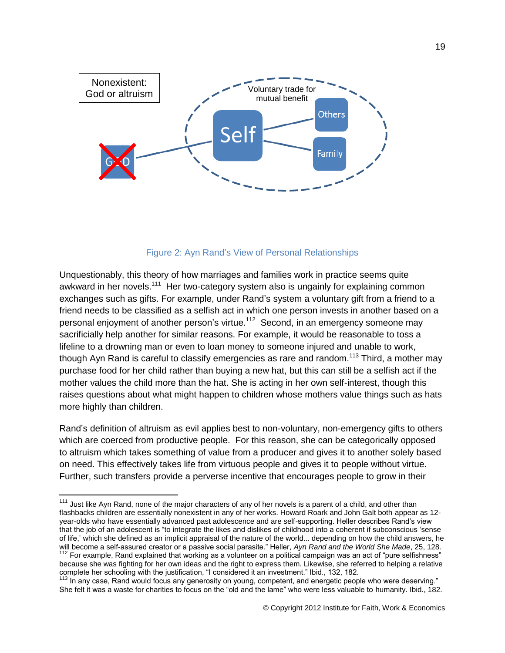

#### Figure 2: Ayn Rand's View of Personal Relationships

Unquestionably, this theory of how marriages and families work in practice seems quite awkward in her novels.<sup>111</sup> Her two-category system also is ungainly for explaining common exchanges such as gifts. For example, under Rand's system a voluntary gift from a friend to a friend needs to be classified as a selfish act in which one person invests in another based on a personal enjoyment of another person's virtue.<sup>112</sup> Second, in an emergency someone may sacrificially help another for similar reasons. For example, it would be reasonable to toss a lifeline to a drowning man or even to loan money to someone injured and unable to work, though Ayn Rand is careful to classify emergencies as rare and random.<sup>113</sup> Third, a mother may purchase food for her child rather than buying a new hat, but this can still be a selfish act if the mother values the child more than the hat. She is acting in her own self-interest, though this raises questions about what might happen to children whose mothers value things such as hats more highly than children.

Rand's definition of altruism as evil applies best to non-voluntary, non-emergency gifts to others which are coerced from productive people. For this reason, she can be categorically opposed to altruism which takes something of value from a producer and gives it to another solely based on need. This effectively takes life from virtuous people and gives it to people without virtue. Further, such transfers provide a perverse incentive that encourages people to grow in their

 $111$  Just like Ayn Rand, none of the major characters of any of her novels is a parent of a child, and other than flashbacks children are essentially nonexistent in any of her works. Howard Roark and John Galt both appear as 12 year-olds who have essentially advanced past adolescence and are self-supporting. Heller describes Rand's view that the job of an adolescent is "to integrate the likes and dislikes of childhood into a coherent if subconscious 'sense of life,' which she defined as an implicit appraisal of the nature of the world... depending on how the child answers, he will become a self-assured creator or a passive social parasite." Heller, *Ayn Rand and the World She Made*, 25, 128. <sup>112</sup> For example, Rand explained that working as a volunteer on a political campaign was an act of "pure selfishness"

because she was fighting for her own ideas and the right to express them. Likewise, she referred to helping a relative complete her schooling with the justification, "I considered it an investment." Ibid., 132, 182.

<sup>&</sup>lt;sup>113</sup> In any case, Rand would focus any generosity on young, competent, and energetic people who were deserving." She felt it was a waste for charities to focus on the "old and the lame" who were less valuable to humanity. Ibid., 182.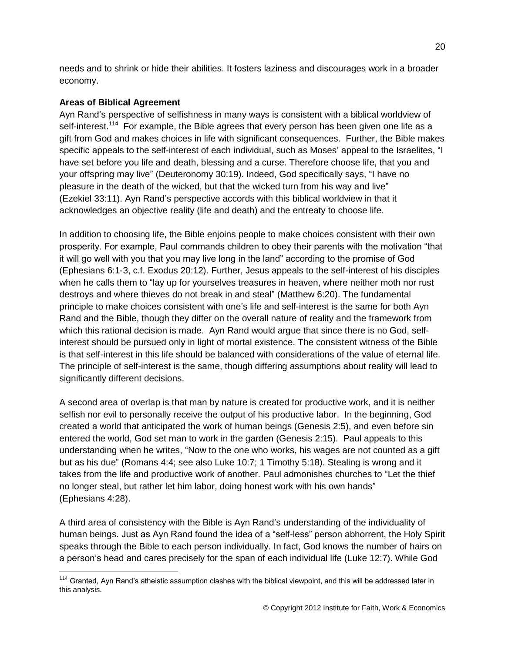needs and to shrink or hide their abilities. It fosters laziness and discourages work in a broader economy.

## **Areas of Biblical Agreement**

 $\overline{a}$ 

Ayn Rand's perspective of selfishness in many ways is consistent with a biblical worldview of self-interest.<sup>114</sup> For example, the Bible agrees that every person has been given one life as a gift from God and makes choices in life with significant consequences. Further, the Bible makes specific appeals to the self-interest of each individual, such as Moses' appeal to the Israelites, "I have set before you life and death, blessing and a curse. Therefore choose life, that you and your offspring may live" (Deuteronomy 30:19). Indeed, God specifically says, "I have no pleasure in the death of the wicked, but that the wicked turn from his way and live" (Ezekiel 33:11). Ayn Rand's perspective accords with this biblical worldview in that it acknowledges an objective reality (life and death) and the entreaty to choose life.

In addition to choosing life, the Bible enjoins people to make choices consistent with their own prosperity. For example, Paul commands children to obey their parents with the motivation "that it will go well with you that you may live long in the land" according to the promise of God (Ephesians 6:1-3, c.f. Exodus 20:12). Further, Jesus appeals to the self-interest of his disciples when he calls them to "lay up for yourselves treasures in heaven, where neither moth nor rust destroys and where thieves do not break in and steal" (Matthew 6:20). The fundamental principle to make choices consistent with one's life and self-interest is the same for both Ayn Rand and the Bible, though they differ on the overall nature of reality and the framework from which this rational decision is made. Ayn Rand would argue that since there is no God, selfinterest should be pursued only in light of mortal existence. The consistent witness of the Bible is that self-interest in this life should be balanced with considerations of the value of eternal life. The principle of self-interest is the same, though differing assumptions about reality will lead to significantly different decisions.

A second area of overlap is that man by nature is created for productive work, and it is neither selfish nor evil to personally receive the output of his productive labor. In the beginning, God created a world that anticipated the work of human beings (Genesis 2:5), and even before sin entered the world, God set man to work in the garden (Genesis 2:15). Paul appeals to this understanding when he writes, "Now to the one who works, his wages are not counted as a gift but as his due" (Romans 4:4; see also Luke 10:7; 1 Timothy 5:18). Stealing is wrong and it takes from the life and productive work of another. Paul admonishes churches to "Let the thief no longer steal, but rather let him labor, doing honest work with his own hands" (Ephesians 4:28).

A third area of consistency with the Bible is Ayn Rand's understanding of the individuality of human beings. Just as Ayn Rand found the idea of a "self-less" person abhorrent, the Holy Spirit speaks through the Bible to each person individually. In fact, God knows the number of hairs on a person's head and cares precisely for the span of each individual life (Luke 12:7). While God

<sup>&</sup>lt;sup>114</sup> Granted, Ayn Rand's atheistic assumption clashes with the biblical viewpoint, and this will be addressed later in this analysis.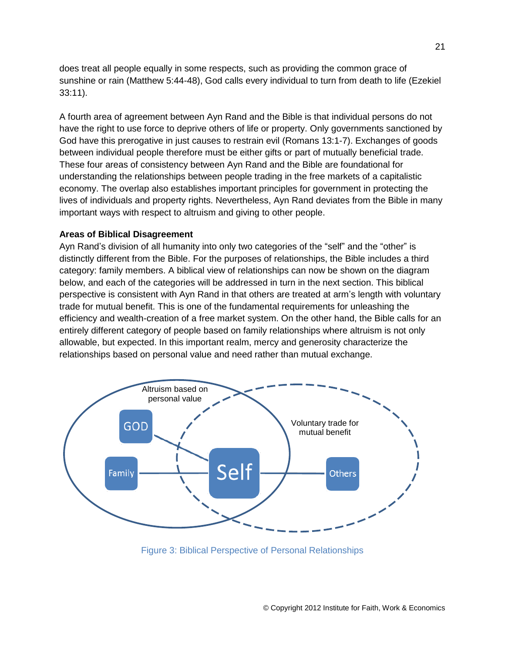does treat all people equally in some respects, such as providing the common grace of sunshine or rain (Matthew 5:44-48), God calls every individual to turn from death to life (Ezekiel 33:11).

A fourth area of agreement between Ayn Rand and the Bible is that individual persons do not have the right to use force to deprive others of life or property. Only governments sanctioned by God have this prerogative in just causes to restrain evil (Romans 13:1-7). Exchanges of goods between individual people therefore must be either gifts or part of mutually beneficial trade. These four areas of consistency between Ayn Rand and the Bible are foundational for understanding the relationships between people trading in the free markets of a capitalistic economy. The overlap also establishes important principles for government in protecting the lives of individuals and property rights. Nevertheless, Ayn Rand deviates from the Bible in many important ways with respect to altruism and giving to other people.

#### **Areas of Biblical Disagreement**

Ayn Rand's division of all humanity into only two categories of the "self" and the "other" is distinctly different from the Bible. For the purposes of relationships, the Bible includes a third category: family members. A biblical view of relationships can now be shown on the diagram below, and each of the categories will be addressed in turn in the next section. This biblical perspective is consistent with Ayn Rand in that others are treated at arm's length with voluntary trade for mutual benefit. This is one of the fundamental requirements for unleashing the efficiency and wealth-creation of a free market system. On the other hand, the Bible calls for an entirely different category of people based on family relationships where altruism is not only allowable, but expected. In this important realm, mercy and generosity characterize the relationships based on personal value and need rather than mutual exchange.



Figure 3: Biblical Perspective of Personal Relationships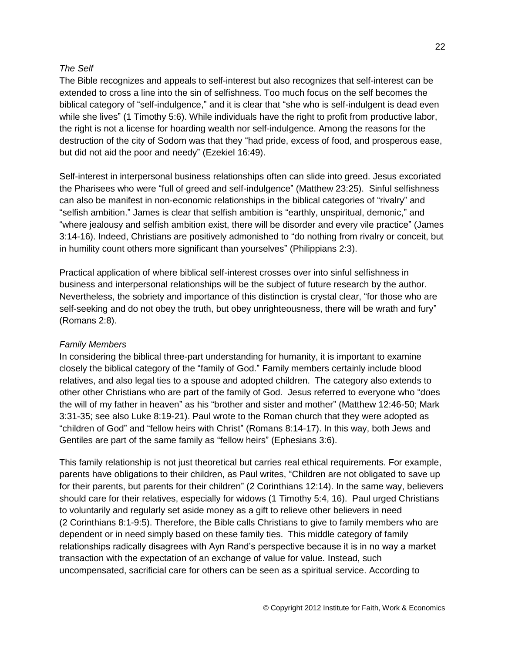### *The Self*

The Bible recognizes and appeals to self-interest but also recognizes that self-interest can be extended to cross a line into the sin of selfishness. Too much focus on the self becomes the biblical category of "self-indulgence," and it is clear that "she who is self-indulgent is dead even while she lives" (1 Timothy 5:6). While individuals have the right to profit from productive labor, the right is not a license for hoarding wealth nor self-indulgence. Among the reasons for the destruction of the city of Sodom was that they "had pride, excess of food, and prosperous ease, but did not aid the poor and needy" (Ezekiel 16:49).

Self-interest in interpersonal business relationships often can slide into greed. Jesus excoriated the Pharisees who were "full of greed and self-indulgence" (Matthew 23:25). Sinful selfishness can also be manifest in non-economic relationships in the biblical categories of "rivalry" and "selfish ambition." James is clear that selfish ambition is "earthly, unspiritual, demonic," and "where jealousy and selfish ambition exist, there will be disorder and every vile practice" (James 3:14-16). Indeed, Christians are positively admonished to "do nothing from rivalry or conceit, but in humility count others more significant than yourselves" (Philippians 2:3).

Practical application of where biblical self-interest crosses over into sinful selfishness in business and interpersonal relationships will be the subject of future research by the author. Nevertheless, the sobriety and importance of this distinction is crystal clear, "for those who are self-seeking and do not obey the truth, but obey unrighteousness, there will be wrath and fury" (Romans 2:8).

#### *Family Members*

In considering the biblical three-part understanding for humanity, it is important to examine closely the biblical category of the "family of God." Family members certainly include blood relatives, and also legal ties to a spouse and adopted children. The category also extends to other other Christians who are part of the family of God. Jesus referred to everyone who "does the will of my father in heaven" as his "brother and sister and mother" (Matthew 12:46-50; Mark 3:31-35; see also Luke 8:19-21). Paul wrote to the Roman church that they were adopted as "children of God" and "fellow heirs with Christ" (Romans 8:14-17). In this way, both Jews and Gentiles are part of the same family as "fellow heirs" (Ephesians 3:6).

This family relationship is not just theoretical but carries real ethical requirements. For example, parents have obligations to their children, as Paul writes, "Children are not obligated to save up for their parents, but parents for their children" (2 Corinthians 12:14). In the same way, believers should care for their relatives, especially for widows (1 Timothy 5:4, 16). Paul urged Christians to voluntarily and regularly set aside money as a gift to relieve other believers in need (2 Corinthians 8:1-9:5). Therefore, the Bible calls Christians to give to family members who are dependent or in need simply based on these family ties. This middle category of family relationships radically disagrees with Ayn Rand's perspective because it is in no way a market transaction with the expectation of an exchange of value for value. Instead, such uncompensated, sacrificial care for others can be seen as a spiritual service. According to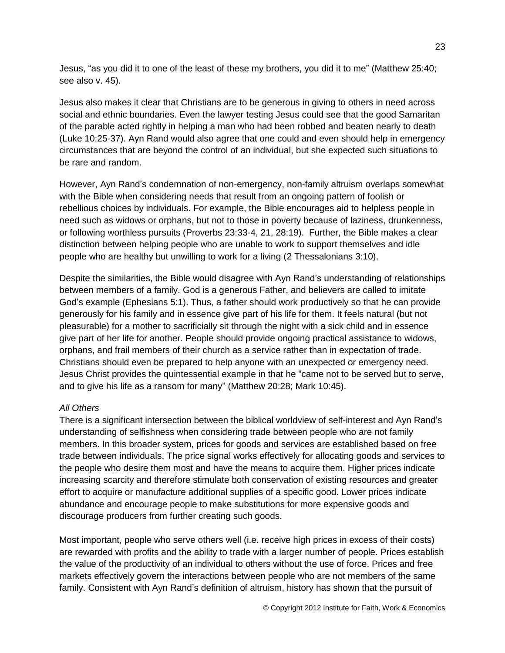Jesus, "as you did it to one of the least of these my brothers, you did it to me" (Matthew 25:40; see also v. 45).

Jesus also makes it clear that Christians are to be generous in giving to others in need across social and ethnic boundaries. Even the lawyer testing Jesus could see that the good Samaritan of the parable acted rightly in helping a man who had been robbed and beaten nearly to death (Luke 10:25-37). Ayn Rand would also agree that one could and even should help in emergency circumstances that are beyond the control of an individual, but she expected such situations to be rare and random.

However, Ayn Rand's condemnation of non-emergency, non-family altruism overlaps somewhat with the Bible when considering needs that result from an ongoing pattern of foolish or rebellious choices by individuals. For example, the Bible encourages aid to helpless people in need such as widows or orphans, but not to those in poverty because of laziness, drunkenness, or following worthless pursuits (Proverbs 23:33-4, 21, 28:19). Further, the Bible makes a clear distinction between helping people who are unable to work to support themselves and idle people who are healthy but unwilling to work for a living (2 Thessalonians 3:10).

Despite the similarities, the Bible would disagree with Ayn Rand's understanding of relationships between members of a family. God is a generous Father, and believers are called to imitate God's example (Ephesians 5:1). Thus, a father should work productively so that he can provide generously for his family and in essence give part of his life for them. It feels natural (but not pleasurable) for a mother to sacrificially sit through the night with a sick child and in essence give part of her life for another. People should provide ongoing practical assistance to widows, orphans, and frail members of their church as a service rather than in expectation of trade. Christians should even be prepared to help anyone with an unexpected or emergency need. Jesus Christ provides the quintessential example in that he "came not to be served but to serve, and to give his life as a ransom for many" (Matthew 20:28; Mark 10:45).

## *All Others*

There is a significant intersection between the biblical worldview of self-interest and Ayn Rand's understanding of selfishness when considering trade between people who are not family members. In this broader system, prices for goods and services are established based on free trade between individuals. The price signal works effectively for allocating goods and services to the people who desire them most and have the means to acquire them. Higher prices indicate increasing scarcity and therefore stimulate both conservation of existing resources and greater effort to acquire or manufacture additional supplies of a specific good. Lower prices indicate abundance and encourage people to make substitutions for more expensive goods and discourage producers from further creating such goods.

Most important, people who serve others well (i.e. receive high prices in excess of their costs) are rewarded with profits and the ability to trade with a larger number of people. Prices establish the value of the productivity of an individual to others without the use of force. Prices and free markets effectively govern the interactions between people who are not members of the same family. Consistent with Ayn Rand's definition of altruism, history has shown that the pursuit of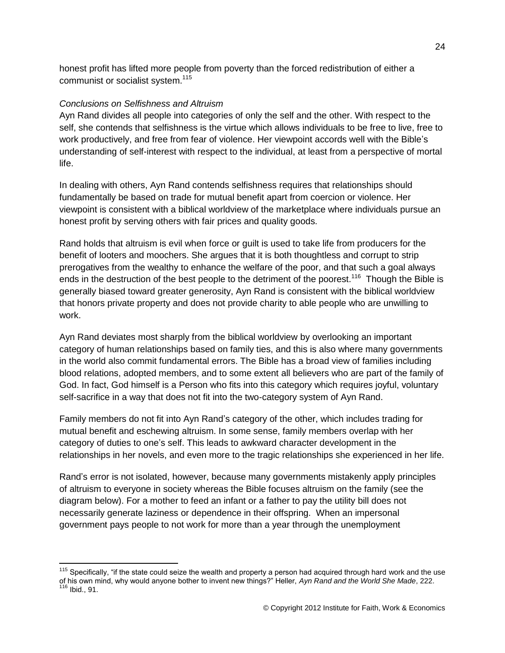honest profit has lifted more people from poverty than the forced redistribution of either a communist or socialist system.<sup>115</sup>

### *Conclusions on Selfishness and Altruism*

 $\overline{a}$ 

Ayn Rand divides all people into categories of only the self and the other. With respect to the self, she contends that selfishness is the virtue which allows individuals to be free to live, free to work productively, and free from fear of violence. Her viewpoint accords well with the Bible's understanding of self-interest with respect to the individual, at least from a perspective of mortal life.

In dealing with others, Ayn Rand contends selfishness requires that relationships should fundamentally be based on trade for mutual benefit apart from coercion or violence. Her viewpoint is consistent with a biblical worldview of the marketplace where individuals pursue an honest profit by serving others with fair prices and quality goods.

Rand holds that altruism is evil when force or guilt is used to take life from producers for the benefit of looters and moochers. She argues that it is both thoughtless and corrupt to strip prerogatives from the wealthy to enhance the welfare of the poor, and that such a goal always ends in the destruction of the best people to the detriment of the poorest.<sup>116</sup> Though the Bible is generally biased toward greater generosity, Ayn Rand is consistent with the biblical worldview that honors private property and does not provide charity to able people who are unwilling to work.

Ayn Rand deviates most sharply from the biblical worldview by overlooking an important category of human relationships based on family ties, and this is also where many governments in the world also commit fundamental errors. The Bible has a broad view of families including blood relations, adopted members, and to some extent all believers who are part of the family of God. In fact, God himself is a Person who fits into this category which requires joyful, voluntary self-sacrifice in a way that does not fit into the two-category system of Ayn Rand.

Family members do not fit into Ayn Rand's category of the other, which includes trading for mutual benefit and eschewing altruism. In some sense, family members overlap with her category of duties to one's self. This leads to awkward character development in the relationships in her novels, and even more to the tragic relationships she experienced in her life.

Rand's error is not isolated, however, because many governments mistakenly apply principles of altruism to everyone in society whereas the Bible focuses altruism on the family (see the diagram below). For a mother to feed an infant or a father to pay the utility bill does not necessarily generate laziness or dependence in their offspring. When an impersonal government pays people to not work for more than a year through the unemployment

 $115$  Specifically, "if the state could seize the wealth and property a person had acquired through hard work and the use of his own mind, why would anyone bother to invent new things?" Heller, *Ayn Rand and the World She Made*, 222. <sup>116</sup> Ibid., 91.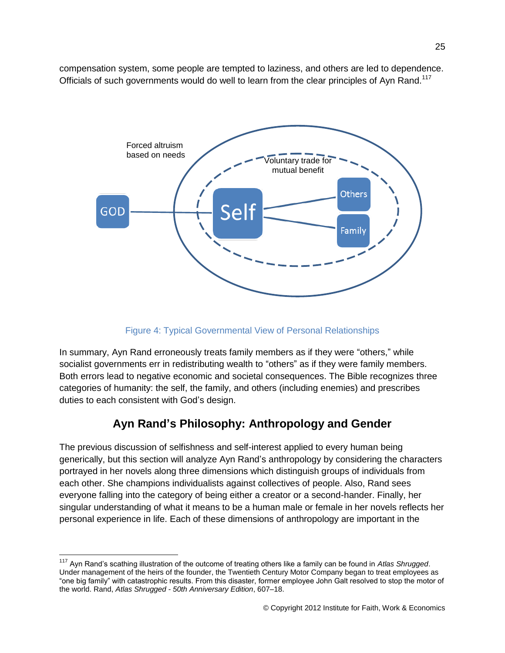compensation system, some people are tempted to laziness, and others are led to dependence. Officials of such governments would do well to learn from the clear principles of Ayn Rand.<sup>117</sup>



## Figure 4: Typical Governmental View of Personal Relationships

In summary, Ayn Rand erroneously treats family members as if they were "others," while socialist governments err in redistributing wealth to "others" as if they were family members. Both errors lead to negative economic and societal consequences. The Bible recognizes three categories of humanity: the self, the family, and others (including enemies) and prescribes duties to each consistent with God's design.

## **Ayn Rand's Philosophy: Anthropology and Gender**

The previous discussion of selfishness and self-interest applied to every human being generically, but this section will analyze Ayn Rand's anthropology by considering the characters portrayed in her novels along three dimensions which distinguish groups of individuals from each other. She champions individualists against collectives of people. Also, Rand sees everyone falling into the category of being either a creator or a second-hander. Finally, her singular understanding of what it means to be a human male or female in her novels reflects her personal experience in life. Each of these dimensions of anthropology are important in the

<sup>117</sup> Ayn Rand's scathing illustration of the outcome of treating others like a family can be found in *Atlas Shrugged*. Under management of the heirs of the founder, the Twentieth Century Motor Company began to treat employees as "one big family" with catastrophic results. From this disaster, former employee John Galt resolved to stop the motor of the world. Rand, *Atlas Shrugged - 50th Anniversary Edition*, 607–18.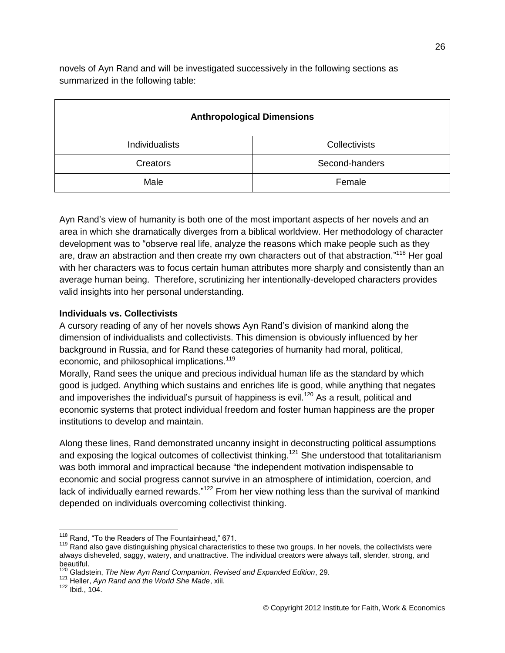novels of Ayn Rand and will be investigated successively in the following sections as summarized in the following table:

| <b>Anthropological Dimensions</b> |                |  |  |
|-----------------------------------|----------------|--|--|
| Individualists                    | Collectivists  |  |  |
| Creators                          | Second-handers |  |  |
| Male                              | Female         |  |  |

Ayn Rand's view of humanity is both one of the most important aspects of her novels and an area in which she dramatically diverges from a biblical worldview. Her methodology of character development was to "observe real life, analyze the reasons which make people such as they are, draw an abstraction and then create my own characters out of that abstraction."<sup>118</sup> Her goal with her characters was to focus certain human attributes more sharply and consistently than an average human being. Therefore, scrutinizing her intentionally-developed characters provides valid insights into her personal understanding.

### **Individuals vs. Collectivists**

A cursory reading of any of her novels shows Ayn Rand's division of mankind along the dimension of individualists and collectivists. This dimension is obviously influenced by her background in Russia, and for Rand these categories of humanity had moral, political, economic, and philosophical implications.<sup>119</sup>

Morally, Rand sees the unique and precious individual human life as the standard by which good is judged. Anything which sustains and enriches life is good, while anything that negates and impoverishes the individual's pursuit of happiness is evil.<sup>120</sup> As a result, political and economic systems that protect individual freedom and foster human happiness are the proper institutions to develop and maintain.

Along these lines, Rand demonstrated uncanny insight in deconstructing political assumptions and exposing the logical outcomes of collectivist thinking.<sup>121</sup> She understood that totalitarianism was both immoral and impractical because "the independent motivation indispensable to economic and social progress cannot survive in an atmosphere of intimidation, coercion, and lack of individually earned rewards."<sup>122</sup> From her view nothing less than the survival of mankind depended on individuals overcoming collectivist thinking.

<sup>&</sup>lt;sup>118</sup> Rand, "To the Readers of The Fountainhead," 671.

<sup>&</sup>lt;sup>119</sup> Rand also gave distinguishing physical characteristics to these two groups. In her novels, the collectivists were always disheveled, saggy, watery, and unattractive. The individual creators were always tall, slender, strong, and beautiful.

<sup>120</sup> Gladstein, *The New Ayn Rand Companion, Revised and Expanded Edition*, 29.

<sup>121</sup> Heller, *Ayn Rand and the World She Made*, xiii.

<sup>122</sup> Ibid., 104.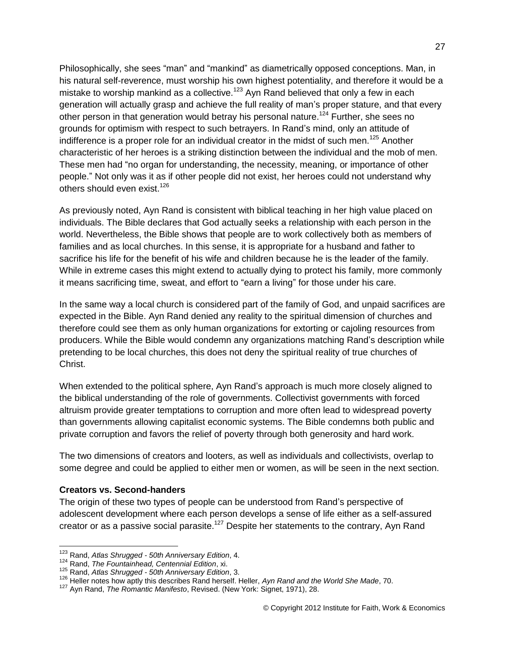Philosophically, she sees "man" and "mankind" as diametrically opposed conceptions. Man, in his natural self-reverence, must worship his own highest potentiality, and therefore it would be a mistake to worship mankind as a collective.<sup>123</sup> Ayn Rand believed that only a few in each generation will actually grasp and achieve the full reality of man's proper stature, and that every other person in that generation would betray his personal nature.<sup>124</sup> Further, she sees no grounds for optimism with respect to such betrayers. In Rand's mind, only an attitude of indifference is a proper role for an individual creator in the midst of such men.<sup>125</sup> Another characteristic of her heroes is a striking distinction between the individual and the mob of men. These men had "no organ for understanding, the necessity, meaning, or importance of other people." Not only was it as if other people did not exist, her heroes could not understand why others should even exist.<sup>126</sup>

As previously noted, Ayn Rand is consistent with biblical teaching in her high value placed on individuals. The Bible declares that God actually seeks a relationship with each person in the world. Nevertheless, the Bible shows that people are to work collectively both as members of families and as local churches. In this sense, it is appropriate for a husband and father to sacrifice his life for the benefit of his wife and children because he is the leader of the family. While in extreme cases this might extend to actually dying to protect his family, more commonly it means sacrificing time, sweat, and effort to "earn a living" for those under his care.

In the same way a local church is considered part of the family of God, and unpaid sacrifices are expected in the Bible. Ayn Rand denied any reality to the spiritual dimension of churches and therefore could see them as only human organizations for extorting or cajoling resources from producers. While the Bible would condemn any organizations matching Rand's description while pretending to be local churches, this does not deny the spiritual reality of true churches of Christ.

When extended to the political sphere, Ayn Rand's approach is much more closely aligned to the biblical understanding of the role of governments. Collectivist governments with forced altruism provide greater temptations to corruption and more often lead to widespread poverty than governments allowing capitalist economic systems. The Bible condemns both public and private corruption and favors the relief of poverty through both generosity and hard work.

The two dimensions of creators and looters, as well as individuals and collectivists, overlap to some degree and could be applied to either men or women, as will be seen in the next section.

#### **Creators vs. Second-handers**

 $\overline{a}$ 

The origin of these two types of people can be understood from Rand's perspective of adolescent development where each person develops a sense of life either as a self-assured creator or as a passive social parasite.<sup>127</sup> Despite her statements to the contrary, Ayn Rand

<sup>123</sup> Rand, *Atlas Shrugged - 50th Anniversary Edition*, 4.

<sup>124</sup> Rand, *The Fountainhead, Centennial Edition*, xi.

<sup>125</sup> Rand, *Atlas Shrugged - 50th Anniversary Edition*, 3.

<sup>126</sup> Heller notes how aptly this describes Rand herself. Heller, *Ayn Rand and the World She Made*, 70.

<sup>127</sup> Ayn Rand, *The Romantic Manifesto*, Revised. (New York: Signet, 1971), 28.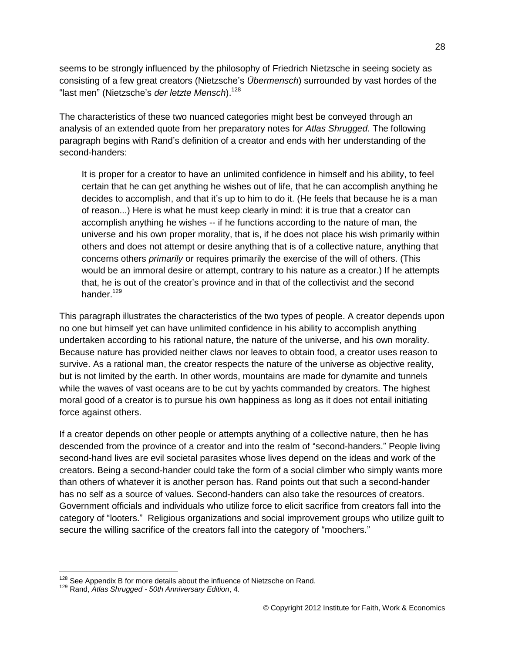seems to be strongly influenced by the philosophy of Friedrich Nietzsche in seeing society as consisting of a few great creators (Nietzsche's *Übermensch*) surrounded by vast hordes of the "last men" (Nietzsche's *der letzte Mensch*).<sup>128</sup>

The characteristics of these two nuanced categories might best be conveyed through an analysis of an extended quote from her preparatory notes for *Atlas Shrugged*. The following paragraph begins with Rand's definition of a creator and ends with her understanding of the second-handers:

It is proper for a creator to have an unlimited confidence in himself and his ability, to feel certain that he can get anything he wishes out of life, that he can accomplish anything he decides to accomplish, and that it's up to him to do it. (He feels that because he is a man of reason...) Here is what he must keep clearly in mind: it is true that a creator can accomplish anything he wishes -- if he functions according to the nature of man, the universe and his own proper morality, that is, if he does not place his wish primarily within others and does not attempt or desire anything that is of a collective nature, anything that concerns others *primarily* or requires primarily the exercise of the will of others. (This would be an immoral desire or attempt, contrary to his nature as a creator.) If he attempts that, he is out of the creator's province and in that of the collectivist and the second hander.<sup>129</sup>

This paragraph illustrates the characteristics of the two types of people. A creator depends upon no one but himself yet can have unlimited confidence in his ability to accomplish anything undertaken according to his rational nature, the nature of the universe, and his own morality. Because nature has provided neither claws nor leaves to obtain food, a creator uses reason to survive. As a rational man, the creator respects the nature of the universe as objective reality, but is not limited by the earth. In other words, mountains are made for dynamite and tunnels while the waves of vast oceans are to be cut by yachts commanded by creators. The highest moral good of a creator is to pursue his own happiness as long as it does not entail initiating force against others.

If a creator depends on other people or attempts anything of a collective nature, then he has descended from the province of a creator and into the realm of "second-handers." People living second-hand lives are evil societal parasites whose lives depend on the ideas and work of the creators. Being a second-hander could take the form of a social climber who simply wants more than others of whatever it is another person has. Rand points out that such a second-hander has no self as a source of values. Second-handers can also take the resources of creators. Government officials and individuals who utilize force to elicit sacrifice from creators fall into the category of "looters." Religious organizations and social improvement groups who utilize guilt to secure the willing sacrifice of the creators fall into the category of "moochers."

 $128$  See Appendix B for more details about the influence of Nietzsche on Rand.

<sup>129</sup> Rand, *Atlas Shrugged - 50th Anniversary Edition*, 4.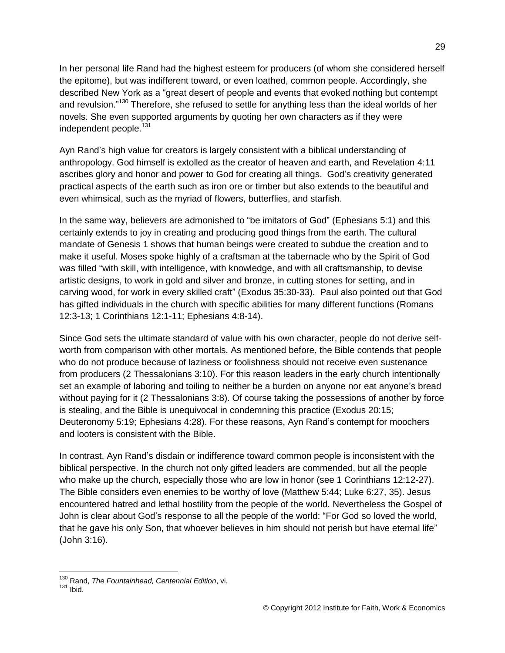In her personal life Rand had the highest esteem for producers (of whom she considered herself the epitome), but was indifferent toward, or even loathed, common people. Accordingly, she described New York as a "great desert of people and events that evoked nothing but contempt and revulsion."<sup>130</sup> Therefore, she refused to settle for anything less than the ideal worlds of her novels. She even supported arguments by quoting her own characters as if they were independent people.<sup>131</sup>

Ayn Rand's high value for creators is largely consistent with a biblical understanding of anthropology. God himself is extolled as the creator of heaven and earth, and Revelation 4:11 ascribes glory and honor and power to God for creating all things. God's creativity generated practical aspects of the earth such as iron ore or timber but also extends to the beautiful and even whimsical, such as the myriad of flowers, butterflies, and starfish.

In the same way, believers are admonished to "be imitators of God" (Ephesians 5:1) and this certainly extends to joy in creating and producing good things from the earth. The cultural mandate of Genesis 1 shows that human beings were created to subdue the creation and to make it useful. Moses spoke highly of a craftsman at the tabernacle who by the Spirit of God was filled "with skill, with intelligence, with knowledge, and with all craftsmanship, to devise artistic designs, to work in gold and silver and bronze, in cutting stones for setting, and in carving wood, for work in every skilled craft" (Exodus 35:30-33). Paul also pointed out that God has gifted individuals in the church with specific abilities for many different functions (Romans 12:3-13; 1 Corinthians 12:1-11; Ephesians 4:8-14).

Since God sets the ultimate standard of value with his own character, people do not derive selfworth from comparison with other mortals. As mentioned before, the Bible contends that people who do not produce because of laziness or foolishness should not receive even sustenance from producers (2 Thessalonians 3:10). For this reason leaders in the early church intentionally set an example of laboring and toiling to neither be a burden on anyone nor eat anyone's bread without paying for it (2 Thessalonians 3:8). Of course taking the possessions of another by force is stealing, and the Bible is unequivocal in condemning this practice (Exodus 20:15; Deuteronomy 5:19; Ephesians 4:28). For these reasons, Ayn Rand's contempt for moochers and looters is consistent with the Bible.

In contrast, Ayn Rand's disdain or indifference toward common people is inconsistent with the biblical perspective. In the church not only gifted leaders are commended, but all the people who make up the church, especially those who are low in honor (see 1 Corinthians 12:12-27). The Bible considers even enemies to be worthy of love (Matthew 5:44; Luke 6:27, 35). Jesus encountered hatred and lethal hostility from the people of the world. Nevertheless the Gospel of John is clear about God's response to all the people of the world: "For God so loved the world, that he gave his only Son, that whoever believes in him should not perish but have eternal life" (John 3:16).

<sup>130</sup> Rand, *The Fountainhead, Centennial Edition*, vi.

 $131$  Ibid.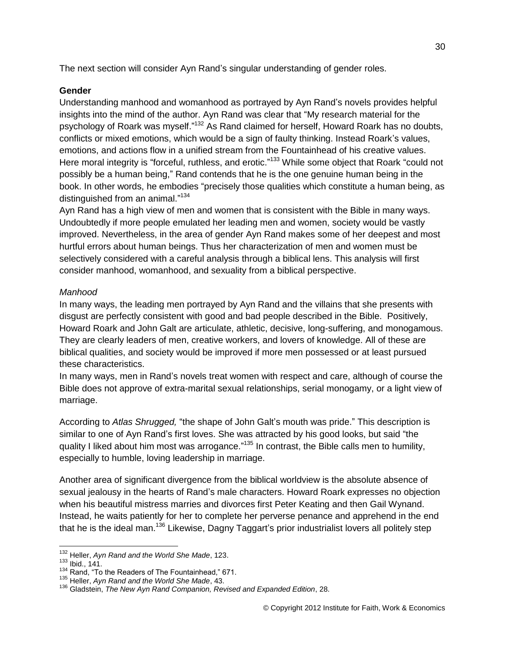The next section will consider Ayn Rand's singular understanding of gender roles.

### **Gender**

Understanding manhood and womanhood as portrayed by Ayn Rand's novels provides helpful insights into the mind of the author. Ayn Rand was clear that "My research material for the psychology of Roark was myself."<sup>132</sup> As Rand claimed for herself, Howard Roark has no doubts, conflicts or mixed emotions, which would be a sign of faulty thinking. Instead Roark's values, emotions, and actions flow in a unified stream from the Fountainhead of his creative values. Here moral integrity is "forceful, ruthless, and erotic."<sup>133</sup> While some object that Roark "could not possibly be a human being," Rand contends that he is the one genuine human being in the book. In other words, he embodies "precisely those qualities which constitute a human being, as distinguished from an animal."<sup>134</sup>

Ayn Rand has a high view of men and women that is consistent with the Bible in many ways. Undoubtedly if more people emulated her leading men and women, society would be vastly improved. Nevertheless, in the area of gender Ayn Rand makes some of her deepest and most hurtful errors about human beings. Thus her characterization of men and women must be selectively considered with a careful analysis through a biblical lens. This analysis will first consider manhood, womanhood, and sexuality from a biblical perspective.

### *Manhood*

In many ways, the leading men portrayed by Ayn Rand and the villains that she presents with disgust are perfectly consistent with good and bad people described in the Bible. Positively, Howard Roark and John Galt are articulate, athletic, decisive, long-suffering, and monogamous. They are clearly leaders of men, creative workers, and lovers of knowledge. All of these are biblical qualities, and society would be improved if more men possessed or at least pursued these characteristics.

In many ways, men in Rand's novels treat women with respect and care, although of course the Bible does not approve of extra-marital sexual relationships, serial monogamy, or a light view of marriage.

According to *Atlas Shrugged,* "the shape of John Galt's mouth was pride." This description is similar to one of Ayn Rand's first loves. She was attracted by his good looks, but said "the quality I liked about him most was arrogance."<sup>135</sup> In contrast, the Bible calls men to humility, especially to humble, loving leadership in marriage.

Another area of significant divergence from the biblical worldview is the absolute absence of sexual jealousy in the hearts of Rand's male characters. Howard Roark expresses no objection when his beautiful mistress marries and divorces first Peter Keating and then Gail Wynand. Instead, he waits patiently for her to complete her perverse penance and apprehend in the end that he is the ideal man.<sup>136</sup> Likewise, Dagny Taggart's prior industrialist lovers all politely step

<sup>132</sup> Heller, *Ayn Rand and the World She Made*, 123.

<sup>133</sup> Ibid., 141.

<sup>134</sup> Rand, "To the Readers of The Fountainhead," 671.

<sup>135</sup> Heller, *Ayn Rand and the World She Made*, 43.

<sup>136</sup> Gladstein, *The New Ayn Rand Companion, Revised and Expanded Edition*, 28.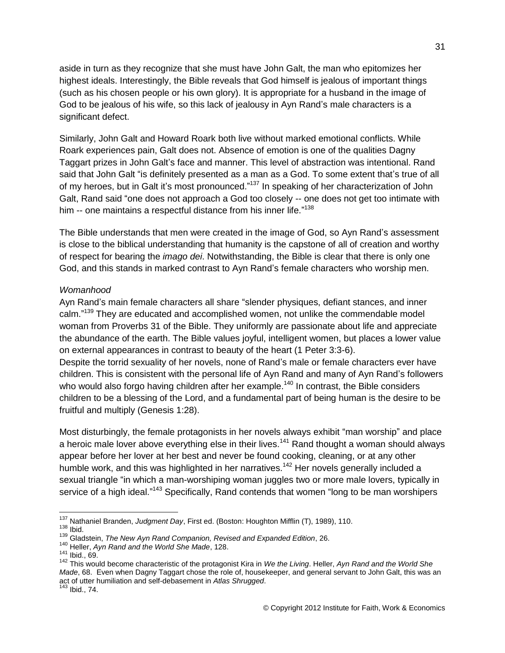aside in turn as they recognize that she must have John Galt, the man who epitomizes her highest ideals. Interestingly, the Bible reveals that God himself is jealous of important things (such as his chosen people or his own glory). It is appropriate for a husband in the image of God to be jealous of his wife, so this lack of jealousy in Ayn Rand's male characters is a significant defect.

Similarly, John Galt and Howard Roark both live without marked emotional conflicts. While Roark experiences pain, Galt does not. Absence of emotion is one of the qualities Dagny Taggart prizes in John Galt's face and manner. This level of abstraction was intentional. Rand said that John Galt "is definitely presented as a man as a God. To some extent that's true of all of my heroes, but in Galt it's most pronounced."<sup>137</sup> In speaking of her characterization of John Galt, Rand said "one does not approach a God too closely -- one does not get too intimate with him -- one maintains a respectful distance from his inner life."<sup>138</sup>

The Bible understands that men were created in the image of God, so Ayn Rand's assessment is close to the biblical understanding that humanity is the capstone of all of creation and worthy of respect for bearing the *imago dei*. Notwithstanding, the Bible is clear that there is only one God, and this stands in marked contrast to Ayn Rand's female characters who worship men.

#### *Womanhood*

Ayn Rand's main female characters all share "slender physiques, defiant stances, and inner calm."<sup>139</sup> They are educated and accomplished women, not unlike the commendable model woman from Proverbs 31 of the Bible. They uniformly are passionate about life and appreciate the abundance of the earth. The Bible values joyful, intelligent women, but places a lower value on external appearances in contrast to beauty of the heart (1 Peter 3:3-6).

Despite the torrid sexuality of her novels, none of Rand's male or female characters ever have children. This is consistent with the personal life of Ayn Rand and many of Ayn Rand's followers who would also forgo having children after her example.<sup>140</sup> In contrast, the Bible considers children to be a blessing of the Lord, and a fundamental part of being human is the desire to be fruitful and multiply (Genesis 1:28).

Most disturbingly, the female protagonists in her novels always exhibit "man worship" and place a heroic male lover above everything else in their lives.<sup>141</sup> Rand thought a woman should always appear before her lover at her best and never be found cooking, cleaning, or at any other humble work, and this was highlighted in her narratives.<sup>142</sup> Her novels generally included a sexual triangle "in which a man-worshiping woman juggles two or more male lovers, typically in service of a high ideal."<sup>143</sup> Specifically, Rand contends that women "long to be man worshipers

 $\overline{a}$ <sup>137</sup> Nathaniel Branden, *Judgment Day*, First ed. (Boston: Houghton Mifflin (T), 1989), 110.

 $138$  Ibid.

<sup>139</sup> Gladstein, *The New Ayn Rand Companion, Revised and Expanded Edition*, 26.

<sup>140</sup> Heller, *Ayn Rand and the World She Made*, 128.

<sup>141</sup> Ibid., 69.

<sup>142</sup> This would become characteristic of the protagonist Kira in *We the Living*. Heller, *Ayn Rand and the World She Made*, 68. Even when Dagny Taggart chose the role of, housekeeper, and general servant to John Galt, this was an act of utter humiliation and self-debasement in *Atlas Shrugged*.

<sup>143</sup> Ibid., 74.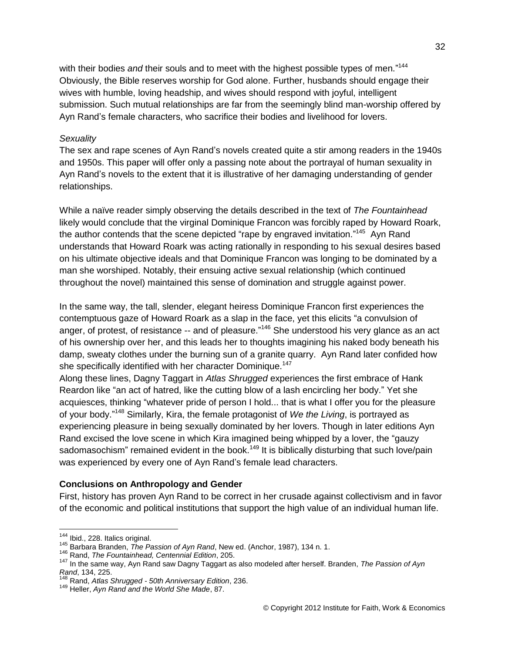with their bodies and their souls and to meet with the highest possible types of men."<sup>144</sup> Obviously, the Bible reserves worship for God alone. Further, husbands should engage their wives with humble, loving headship, and wives should respond with joyful, intelligent submission. Such mutual relationships are far from the seemingly blind man-worship offered by Ayn Rand's female characters, who sacrifice their bodies and livelihood for lovers.

#### *Sexuality*

The sex and rape scenes of Ayn Rand's novels created quite a stir among readers in the 1940s and 1950s. This paper will offer only a passing note about the portrayal of human sexuality in Ayn Rand's novels to the extent that it is illustrative of her damaging understanding of gender relationships.

While a naïve reader simply observing the details described in the text of *The Fountainhead* likely would conclude that the virginal Dominique Francon was forcibly raped by Howard Roark, the author contends that the scene depicted "rape by engraved invitation."<sup>145</sup> Ayn Rand understands that Howard Roark was acting rationally in responding to his sexual desires based on his ultimate objective ideals and that Dominique Francon was longing to be dominated by a man she worshiped. Notably, their ensuing active sexual relationship (which continued throughout the novel) maintained this sense of domination and struggle against power.

In the same way, the tall, slender, elegant heiress Dominique Francon first experiences the contemptuous gaze of Howard Roark as a slap in the face, yet this elicits "a convulsion of anger, of protest, of resistance -- and of pleasure."<sup>146</sup> She understood his very glance as an act of his ownership over her, and this leads her to thoughts imagining his naked body beneath his damp, sweaty clothes under the burning sun of a granite quarry. Ayn Rand later confided how she specifically identified with her character Dominique.<sup>147</sup>

Along these lines, Dagny Taggart in *Atlas Shrugged* experiences the first embrace of Hank Reardon like "an act of hatred, like the cutting blow of a lash encircling her body." Yet she acquiesces, thinking "whatever pride of person I hold... that is what I offer you for the pleasure of your body." <sup>148</sup> Similarly, Kira, the female protagonist of *We the Living*, is portrayed as experiencing pleasure in being sexually dominated by her lovers. Though in later editions Ayn Rand excised the love scene in which Kira imagined being whipped by a lover, the "gauzy sadomasochism" remained evident in the book.<sup>149</sup> It is biblically disturbing that such love/pain was experienced by every one of Ayn Rand's female lead characters.

#### **Conclusions on Anthropology and Gender**

First, history has proven Ayn Rand to be correct in her crusade against collectivism and in favor of the economic and political institutions that support the high value of an individual human life.

<sup>&</sup>lt;sup>144</sup> Ibid., 228. Italics original.

<sup>145</sup> Barbara Branden, *The Passion of Ayn Rand*, New ed. (Anchor, 1987), 134 n. 1.

<sup>146</sup> Rand, *The Fountainhead, Centennial Edition*, 205.

<sup>147</sup> In the same way, Ayn Rand saw Dagny Taggart as also modeled after herself. Branden, *The Passion of Ayn Rand*, 134, 225.

<sup>&</sup>lt;sup>1</sup> Rand, *Atlas Shrugged - 50th Anniversary Edition*, 236.

<sup>149</sup> Heller, *Ayn Rand and the World She Made*, 87.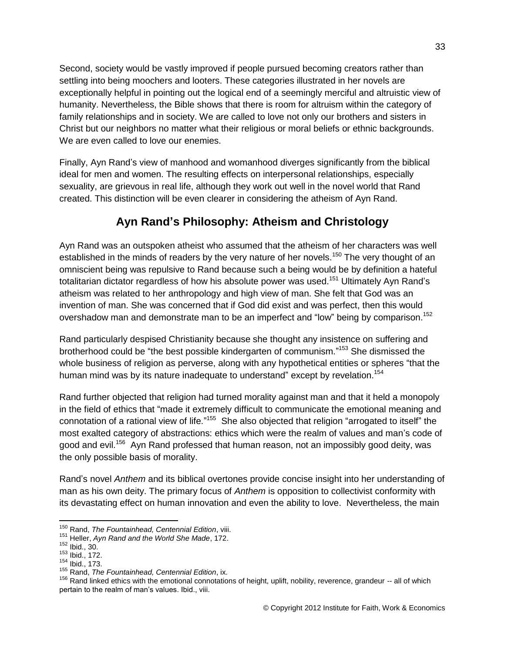Second, society would be vastly improved if people pursued becoming creators rather than settling into being moochers and looters. These categories illustrated in her novels are exceptionally helpful in pointing out the logical end of a seemingly merciful and altruistic view of humanity. Nevertheless, the Bible shows that there is room for altruism within the category of family relationships and in society. We are called to love not only our brothers and sisters in Christ but our neighbors no matter what their religious or moral beliefs or ethnic backgrounds. We are even called to love our enemies.

Finally, Ayn Rand's view of manhood and womanhood diverges significantly from the biblical ideal for men and women. The resulting effects on interpersonal relationships, especially sexuality, are grievous in real life, although they work out well in the novel world that Rand created. This distinction will be even clearer in considering the atheism of Ayn Rand.

## **Ayn Rand's Philosophy: Atheism and Christology**

Ayn Rand was an outspoken atheist who assumed that the atheism of her characters was well established in the minds of readers by the very nature of her novels.<sup>150</sup> The very thought of an omniscient being was repulsive to Rand because such a being would be by definition a hateful totalitarian dictator regardless of how his absolute power was used.<sup>151</sup> Ultimately Ayn Rand's atheism was related to her anthropology and high view of man. She felt that God was an invention of man. She was concerned that if God did exist and was perfect, then this would overshadow man and demonstrate man to be an imperfect and "low" being by comparison.<sup>152</sup>

Rand particularly despised Christianity because she thought any insistence on suffering and brotherhood could be "the best possible kindergarten of communism."<sup>153</sup> She dismissed the whole business of religion as perverse, along with any hypothetical entities or spheres "that the human mind was by its nature inadequate to understand" except by revelation.<sup>154</sup>

Rand further objected that religion had turned morality against man and that it held a monopoly in the field of ethics that "made it extremely difficult to communicate the emotional meaning and connotation of a rational view of life."<sup>155</sup> She also objected that religion "arrogated to itself" the most exalted category of abstractions: ethics which were the realm of values and man's code of good and evil.<sup>156</sup> Ayn Rand professed that human reason, not an impossibly good deity, was the only possible basis of morality.

Rand's novel *Anthem* and its biblical overtones provide concise insight into her understanding of man as his own deity. The primary focus of *Anthem* is opposition to collectivist conformity with its devastating effect on human innovation and even the ability to love. Nevertheless, the main

<sup>150</sup> Rand, *The Fountainhead, Centennial Edition*, viii.

<sup>151</sup> Heller, *Ayn Rand and the World She Made*, 172.

 $152$  Ibid., 30.

<sup>153</sup> Ibid., 172.

<sup>154</sup> Ibid., 173.

<sup>155</sup> Rand, *The Fountainhead, Centennial Edition*, ix.

<sup>&</sup>lt;sup>156</sup> Rand linked ethics with the emotional connotations of height, uplift, nobility, reverence, grandeur -- all of which pertain to the realm of man's values. Ibid., viii.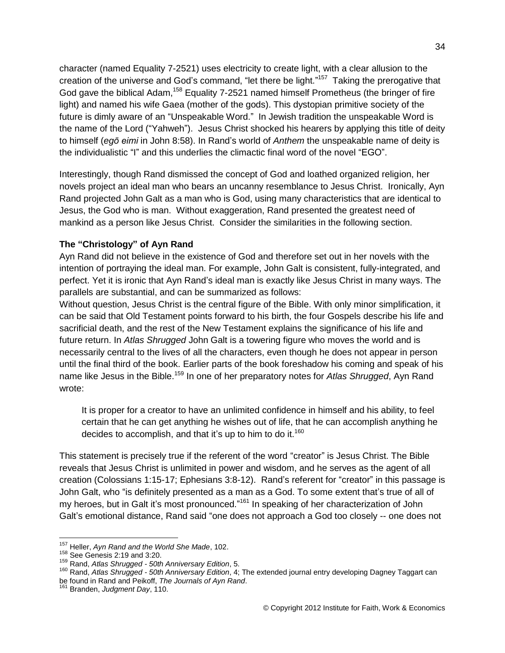character (named Equality 7-2521) uses electricity to create light, with a clear allusion to the creation of the universe and God's command, "let there be light."<sup>157</sup> Taking the prerogative that God gave the biblical Adam,<sup>158</sup> Equality 7-2521 named himself Prometheus (the bringer of fire light) and named his wife Gaea (mother of the gods). This dystopian primitive society of the future is dimly aware of an "Unspeakable Word." In Jewish tradition the unspeakable Word is the name of the Lord ("Yahweh"). Jesus Christ shocked his hearers by applying this title of deity to himself (*egō eimi* in John 8:58). In Rand's world of *Anthem* the unspeakable name of deity is the individualistic "I" and this underlies the climactic final word of the novel "EGO".

Interestingly, though Rand dismissed the concept of God and loathed organized religion, her novels project an ideal man who bears an uncanny resemblance to Jesus Christ. Ironically, Ayn Rand projected John Galt as a man who is God, using many characteristics that are identical to Jesus, the God who is man. Without exaggeration, Rand presented the greatest need of mankind as a person like Jesus Christ. Consider the similarities in the following section.

### **The "Christology" of Ayn Rand**

Ayn Rand did not believe in the existence of God and therefore set out in her novels with the intention of portraying the ideal man. For example, John Galt is consistent, fully-integrated, and perfect. Yet it is ironic that Ayn Rand's ideal man is exactly like Jesus Christ in many ways. The parallels are substantial, and can be summarized as follows:

Without question, Jesus Christ is the central figure of the Bible. With only minor simplification, it can be said that Old Testament points forward to his birth, the four Gospels describe his life and sacrificial death, and the rest of the New Testament explains the significance of his life and future return. In *Atlas Shrugged* John Galt is a towering figure who moves the world and is necessarily central to the lives of all the characters, even though he does not appear in person until the final third of the book. Earlier parts of the book foreshadow his coming and speak of his name like Jesus in the Bible.<sup>159</sup> In one of her preparatory notes for *Atlas Shrugged*, Ayn Rand wrote:

It is proper for a creator to have an unlimited confidence in himself and his ability, to feel certain that he can get anything he wishes out of life, that he can accomplish anything he decides to accomplish, and that it's up to him to do it.<sup>160</sup>

This statement is precisely true if the referent of the word "creator" is Jesus Christ. The Bible reveals that Jesus Christ is unlimited in power and wisdom, and he serves as the agent of all creation (Colossians 1:15-17; Ephesians 3:8-12). Rand's referent for "creator" in this passage is John Galt, who "is definitely presented as a man as a God. To some extent that's true of all of my heroes, but in Galt it's most pronounced."<sup>161</sup> In speaking of her characterization of John Galt's emotional distance, Rand said "one does not approach a God too closely -- one does not

 $\overline{a}$ <sup>157</sup> Heller, *Ayn Rand and the World She Made*, 102.

<sup>158</sup> See Genesis 2:19 and 3:20.

<sup>159</sup> Rand, *Atlas Shrugged - 50th Anniversary Edition*, 5.

<sup>160</sup> Rand, *Atlas Shrugged - 50th Anniversary Edition*, 4; The extended journal entry developing Dagney Taggart can be found in Rand and Peikoff, *The Journals of Ayn Rand*.

Branden, *Judgment Day*, 110.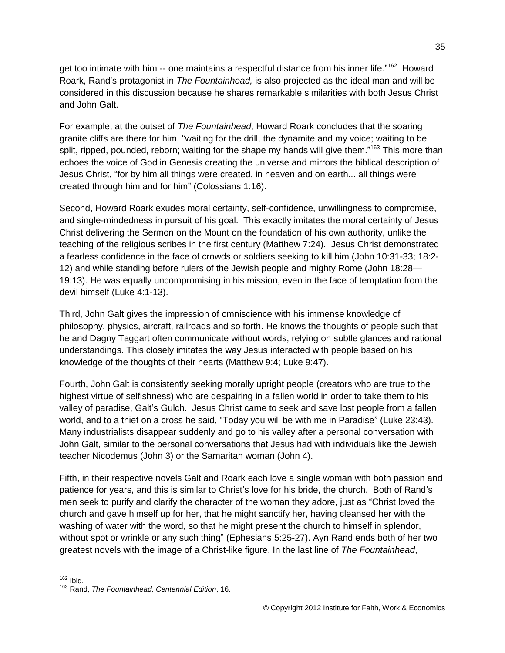get too intimate with him -- one maintains a respectful distance from his inner life."<sup>162</sup> Howard Roark, Rand's protagonist in *The Fountainhead,* is also projected as the ideal man and will be considered in this discussion because he shares remarkable similarities with both Jesus Christ and John Galt.

For example, at the outset of *The Fountainhead*, Howard Roark concludes that the soaring granite cliffs are there for him, "waiting for the drill, the dynamite and my voice; waiting to be split, ripped, pounded, reborn; waiting for the shape my hands will give them."<sup>163</sup> This more than echoes the voice of God in Genesis creating the universe and mirrors the biblical description of Jesus Christ, "for by him all things were created, in heaven and on earth... all things were created through him and for him" (Colossians 1:16).

Second, Howard Roark exudes moral certainty, self-confidence, unwillingness to compromise, and single-mindedness in pursuit of his goal. This exactly imitates the moral certainty of Jesus Christ delivering the Sermon on the Mount on the foundation of his own authority, unlike the teaching of the religious scribes in the first century (Matthew 7:24). Jesus Christ demonstrated a fearless confidence in the face of crowds or soldiers seeking to kill him (John 10:31-33; 18:2- 12) and while standing before rulers of the Jewish people and mighty Rome (John 18:28— 19:13). He was equally uncompromising in his mission, even in the face of temptation from the devil himself (Luke 4:1-13).

Third, John Galt gives the impression of omniscience with his immense knowledge of philosophy, physics, aircraft, railroads and so forth. He knows the thoughts of people such that he and Dagny Taggart often communicate without words, relying on subtle glances and rational understandings. This closely imitates the way Jesus interacted with people based on his knowledge of the thoughts of their hearts (Matthew 9:4; Luke 9:47).

Fourth, John Galt is consistently seeking morally upright people (creators who are true to the highest virtue of selfishness) who are despairing in a fallen world in order to take them to his valley of paradise, Galt's Gulch. Jesus Christ came to seek and save lost people from a fallen world, and to a thief on a cross he said, "Today you will be with me in Paradise" (Luke 23:43). Many industrialists disappear suddenly and go to his valley after a personal conversation with John Galt, similar to the personal conversations that Jesus had with individuals like the Jewish teacher Nicodemus (John 3) or the Samaritan woman (John 4).

Fifth, in their respective novels Galt and Roark each love a single woman with both passion and patience for years, and this is similar to Christ's love for his bride, the church. Both of Rand's men seek to purify and clarify the character of the woman they adore, just as "Christ loved the church and gave himself up for her, that he might sanctify her, having cleansed her with the washing of water with the word, so that he might present the church to himself in splendor, without spot or wrinkle or any such thing" (Ephesians 5:25-27). Ayn Rand ends both of her two greatest novels with the image of a Christ-like figure. In the last line of *The Fountainhead*,

 $\overline{a}$  $162$  Ibid.

<sup>163</sup> Rand, *The Fountainhead, Centennial Edition*, 16.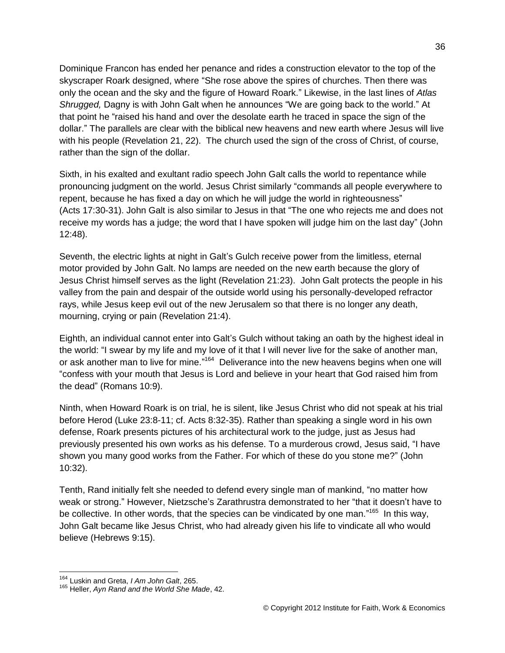Dominique Francon has ended her penance and rides a construction elevator to the top of the skyscraper Roark designed, where "She rose above the spires of churches. Then there was only the ocean and the sky and the figure of Howard Roark." Likewise, in the last lines of *Atlas Shrugged,* Dagny is with John Galt when he announces "We are going back to the world." At that point he "raised his hand and over the desolate earth he traced in space the sign of the dollar." The parallels are clear with the biblical new heavens and new earth where Jesus will live with his people (Revelation 21, 22). The church used the sign of the cross of Christ, of course, rather than the sign of the dollar.

Sixth, in his exalted and exultant radio speech John Galt calls the world to repentance while pronouncing judgment on the world. Jesus Christ similarly "commands all people everywhere to repent, because he has fixed a day on which he will judge the world in righteousness" (Acts 17:30-31). John Galt is also similar to Jesus in that "The one who rejects me and does not receive my words has a judge; the word that I have spoken will judge him on the last day" (John 12:48).

Seventh, the electric lights at night in Galt's Gulch receive power from the limitless, eternal motor provided by John Galt. No lamps are needed on the new earth because the glory of Jesus Christ himself serves as the light (Revelation 21:23). John Galt protects the people in his valley from the pain and despair of the outside world using his personally-developed refractor rays, while Jesus keep evil out of the new Jerusalem so that there is no longer any death, mourning, crying or pain (Revelation 21:4).

Eighth, an individual cannot enter into Galt's Gulch without taking an oath by the highest ideal in the world: "I swear by my life and my love of it that I will never live for the sake of another man, or ask another man to live for mine."<sup>164</sup> Deliverance into the new heavens begins when one will "confess with your mouth that Jesus is Lord and believe in your heart that God raised him from the dead" (Romans 10:9).

Ninth, when Howard Roark is on trial, he is silent, like Jesus Christ who did not speak at his trial before Herod (Luke 23:8-11; cf. Acts 8:32-35). Rather than speaking a single word in his own defense, Roark presents pictures of his architectural work to the judge, just as Jesus had previously presented his own works as his defense. To a murderous crowd, Jesus said, "I have shown you many good works from the Father. For which of these do you stone me?" (John 10:32).

Tenth, Rand initially felt she needed to defend every single man of mankind, "no matter how weak or strong." However, Nietzsche's Zarathrustra demonstrated to her "that it doesn't have to be collective. In other words, that the species can be vindicated by one man."<sup>165</sup> In this way, John Galt became like Jesus Christ, who had already given his life to vindicate all who would believe (Hebrews 9:15).

<sup>164</sup> Luskin and Greta, *I Am John Galt*, 265.

<sup>165</sup> Heller, *Ayn Rand and the World She Made*, 42.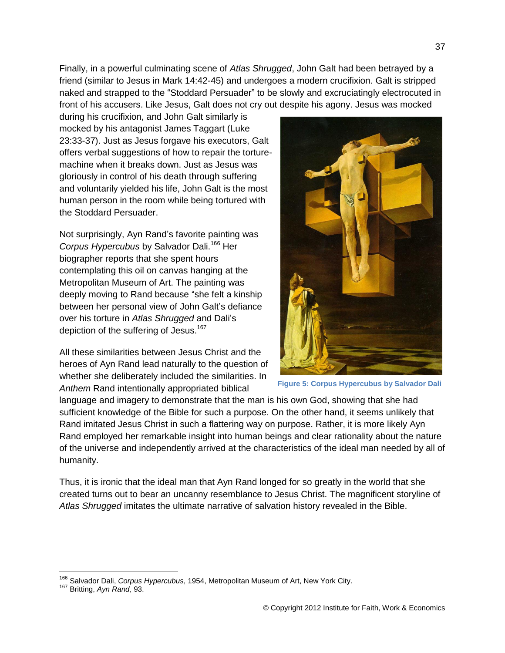Finally, in a powerful culminating scene of *Atlas Shrugged*, John Galt had been betrayed by a friend (similar to Jesus in Mark 14:42-45) and undergoes a modern crucifixion. Galt is stripped naked and strapped to the "Stoddard Persuader" to be slowly and excruciatingly electrocuted in front of his accusers. Like Jesus, Galt does not cry out despite his agony. Jesus was mocked

during his crucifixion, and John Galt similarly is mocked by his antagonist James Taggart (Luke 23:33-37). Just as Jesus forgave his executors, Galt offers verbal suggestions of how to repair the torturemachine when it breaks down. Just as Jesus was gloriously in control of his death through suffering and voluntarily yielded his life, John Galt is the most human person in the room while being tortured with the Stoddard Persuader.

Not surprisingly, Ayn Rand's favorite painting was *Corpus Hypercubus* by Salvador Dali.<sup>166</sup> Her biographer reports that she spent hours contemplating this oil on canvas hanging at the Metropolitan Museum of Art. The painting was deeply moving to Rand because "she felt a kinship between her personal view of John Galt's defiance over his torture in *Atlas Shrugged* and Dali's depiction of the suffering of Jesus.<sup>167</sup>

All these similarities between Jesus Christ and the heroes of Ayn Rand lead naturally to the question of whether she deliberately included the similarities. In *Anthem* Rand intentionally appropriated biblical



**Figure 5: Corpus Hypercubus by Salvador Dali**

language and imagery to demonstrate that the man is his own God, showing that she had sufficient knowledge of the Bible for such a purpose. On the other hand, it seems unlikely that Rand imitated Jesus Christ in such a flattering way on purpose. Rather, it is more likely Ayn Rand employed her remarkable insight into human beings and clear rationality about the nature of the universe and independently arrived at the characteristics of the ideal man needed by all of humanity.

Thus, it is ironic that the ideal man that Ayn Rand longed for so greatly in the world that she created turns out to bear an uncanny resemblance to Jesus Christ. The magnificent storyline of *Atlas Shrugged* imitates the ultimate narrative of salvation history revealed in the Bible.

 $\overline{a}$ 

37

<sup>166</sup> Salvador Dali, *Corpus Hypercubus*, 1954, Metropolitan Museum of Art, New York City.

<sup>167</sup> Britting, *Ayn Rand*, 93.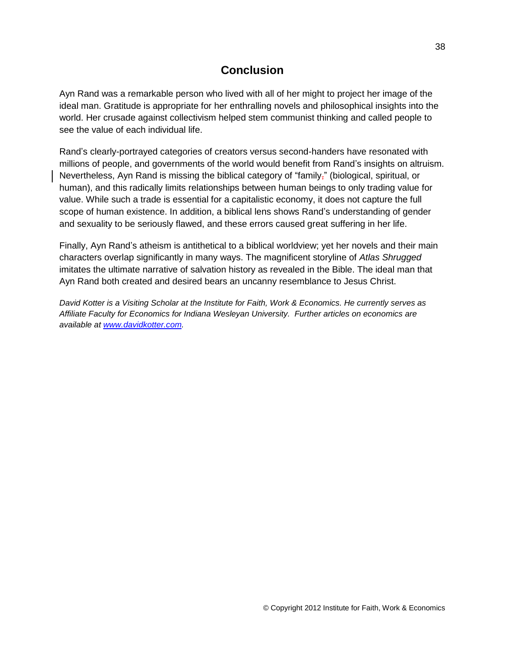## **Conclusion**

Ayn Rand was a remarkable person who lived with all of her might to project her image of the ideal man. Gratitude is appropriate for her enthralling novels and philosophical insights into the world. Her crusade against collectivism helped stem communist thinking and called people to see the value of each individual life.

Rand's clearly-portrayed categories of creators versus second-handers have resonated with millions of people, and governments of the world would benefit from Rand's insights on altruism. Nevertheless, Ayn Rand is missing the biblical category of "family," (biological, spiritual, or human), and this radically limits relationships between human beings to only trading value for value. While such a trade is essential for a capitalistic economy, it does not capture the full scope of human existence. In addition, a biblical lens shows Rand's understanding of gender and sexuality to be seriously flawed, and these errors caused great suffering in her life.

Finally, Ayn Rand's atheism is antithetical to a biblical worldview; yet her novels and their main characters overlap significantly in many ways. The magnificent storyline of *Atlas Shrugged* imitates the ultimate narrative of salvation history as revealed in the Bible. The ideal man that Ayn Rand both created and desired bears an uncanny resemblance to Jesus Christ.

*David Kotter is a Visiting Scholar at the Institute for Faith, Work & Economics. He currently serves as Affiliate Faculty for Economics for Indiana Wesleyan University. Further articles on economics are available at [www.davidkotter.com.](http://www.davidkotter.com/)*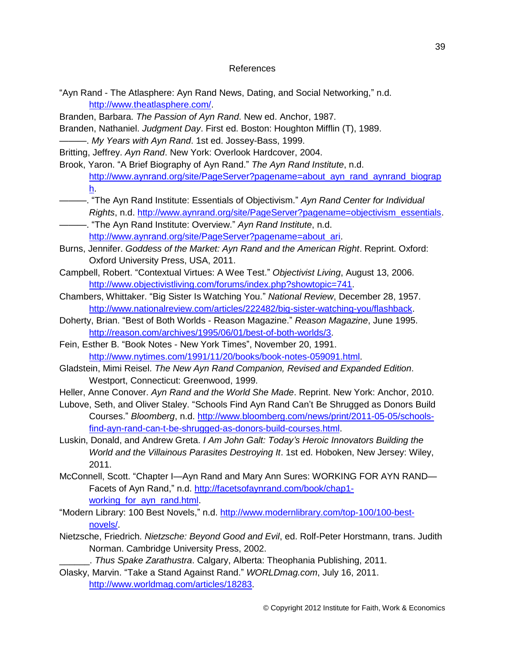#### References

"Ayn Rand - The Atlasphere: Ayn Rand News, Dating, and Social Networking," n.d. [http://www.theatlasphere.com/.](http://www.theatlasphere.com/)

Branden, Barbara. *The Passion of Ayn Rand*. New ed. Anchor, 1987.

Branden, Nathaniel. *Judgment Day*. First ed. Boston: Houghton Mifflin (T), 1989.

———. *My Years with Ayn Rand*. 1st ed. Jossey-Bass, 1999.

Britting, Jeffrey. *Ayn Rand*. New York: Overlook Hardcover, 2004.

Brook, Yaron. "A Brief Biography of Ayn Rand." *The Ayn Rand Institute*, n.d. [http://www.aynrand.org/site/PageServer?pagename=about\\_ayn\\_rand\\_aynrand\\_biograp](http://www.aynrand.org/site/PageServer?pagename=about_ayn_rand_aynrand_biograph) [h.](http://www.aynrand.org/site/PageServer?pagename=about_ayn_rand_aynrand_biograph)

- ———. "The Ayn Rand Institute: Essentials of Objectivism." *Ayn Rand Center for Individual Rights*, n.d. [http://www.aynrand.org/site/PageServer?pagename=objectivism\\_essentials.](http://www.aynrand.org/site/PageServer?pagename=objectivism_essentials)
- ———. "The Ayn Rand Institute: Overview." *Ayn Rand Institute*, n.d. [http://www.aynrand.org/site/PageServer?pagename=about\\_ari.](http://www.aynrand.org/site/PageServer?pagename=about_ari)
- Burns, Jennifer. *Goddess of the Market: Ayn Rand and the American Right*. Reprint. Oxford: Oxford University Press, USA, 2011.
- Campbell, Robert. "Contextual Virtues: A Wee Test." *Objectivist Living*, August 13, 2006. [http://www.objectivistliving.com/forums/index.php?showtopic=741.](http://www.objectivistliving.com/forums/index.php?showtopic=741)
- Chambers, Whittaker. "Big Sister Is Watching You." *National Review*, December 28, 1957. [http://www.nationalreview.com/articles/222482/big-sister-watching-you/flashback.](http://www.nationalreview.com/articles/222482/big-sister-watching-you/flashback)
- Doherty, Brian. "Best of Both Worlds Reason Magazine." *Reason Magazine*, June 1995. [http://reason.com/archives/1995/06/01/best-of-both-worlds/3.](http://reason.com/archives/1995/06/01/best-of-both-worlds/3)

Fein, Esther B. "Book Notes - New York Times", November 20, 1991. [http://www.nytimes.com/1991/11/20/books/book-notes-059091.html.](http://www.nytimes.com/1991/11/20/books/book-notes-059091.html)

Gladstein, Mimi Reisel. *The New Ayn Rand Companion, Revised and Expanded Edition*. Westport, Connecticut: Greenwood, 1999.

Heller, Anne Conover. *Ayn Rand and the World She Made*. Reprint. New York: Anchor, 2010.

Lubove, Seth, and Oliver Staley. "Schools Find Ayn Rand Can't Be Shrugged as Donors Build Courses." *Bloomberg*, n.d. [http://www.bloomberg.com/news/print/2011-05-05/schools](http://www.bloomberg.com/news/print/2011-05-05/schools-find-ayn-rand-can-t-be-shrugged-as-donors-build-courses.html)[find-ayn-rand-can-t-be-shrugged-as-donors-build-courses.html.](http://www.bloomberg.com/news/print/2011-05-05/schools-find-ayn-rand-can-t-be-shrugged-as-donors-build-courses.html)

Luskin, Donald, and Andrew Greta. *I Am John Galt: Today's Heroic Innovators Building the World and the Villainous Parasites Destroying It*. 1st ed. Hoboken, New Jersey: Wiley, 2011.

- McConnell, Scott. "Chapter I—Ayn Rand and Mary Ann Sures: WORKING FOR AYN RAND Facets of Ayn Rand," n.d. [http://facetsofaynrand.com/book/chap1](http://facetsofaynrand.com/book/chap1-working_for_ayn_rand.html) working for ayn rand.html.
- "Modern Library: 100 Best Novels," n.d. [http://www.modernlibrary.com/top-100/100-best](http://www.modernlibrary.com/top-100/100-best-novels/)[novels/.](http://www.modernlibrary.com/top-100/100-best-novels/)
- Nietzsche, Friedrich. *Nietzsche: Beyond Good and Evil*, ed. Rolf-Peter Horstmann, trans. Judith Norman. Cambridge University Press, 2002.

\_\_\_\_\_\_. *Thus Spake Zarathustra*. Calgary, Alberta: Theophania Publishing, 2011.

Olasky, Marvin. "Take a Stand Against Rand." *WORLDmag.com*, July 16, 2011. [http://www.worldmag.com/articles/18283.](http://www.worldmag.com/articles/18283)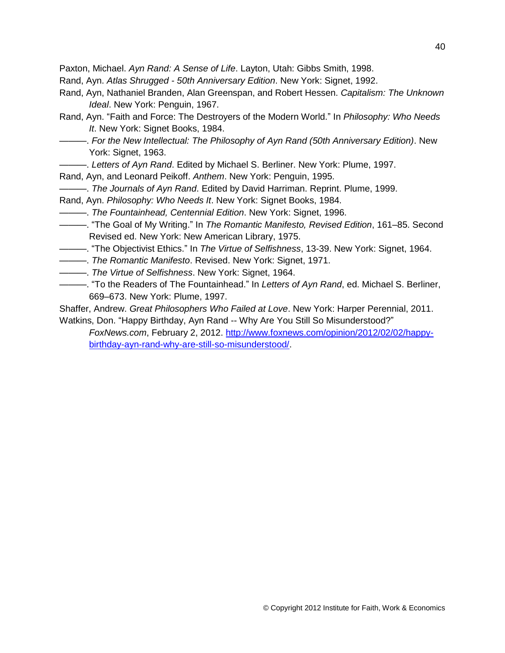Paxton, Michael. *Ayn Rand: A Sense of Life*. Layton, Utah: Gibbs Smith, 1998.

- Rand, Ayn. *Atlas Shrugged - 50th Anniversary Edition*. New York: Signet, 1992.
- Rand, Ayn, Nathaniel Branden, Alan Greenspan, and Robert Hessen. *Capitalism: The Unknown Ideal*. New York: Penguin, 1967.
- Rand, Ayn. "Faith and Force: The Destroyers of the Modern World." In *Philosophy: Who Needs It*. New York: Signet Books, 1984.
	- ———. *For the New Intellectual: The Philosophy of Ayn Rand (50th Anniversary Edition)*. New York: Signet, 1963.
- ———. *Letters of Ayn Rand*. Edited by Michael S. Berliner. New York: Plume, 1997.
- Rand, Ayn, and Leonard Peikoff. *Anthem*. New York: Penguin, 1995.
- ———. *The Journals of Ayn Rand*. Edited by David Harriman. Reprint. Plume, 1999.
- Rand, Ayn. *Philosophy: Who Needs It*. New York: Signet Books, 1984.
- ———. *The Fountainhead, Centennial Edition*. New York: Signet, 1996.
- ———. "The Goal of My Writing." In *The Romantic Manifesto, Revised Edition*, 161–85. Second Revised ed. New York: New American Library, 1975.
- ———. "The Objectivist Ethics." In *The Virtue of Selfishness*, 13-39. New York: Signet, 1964.
- ———. *The Romantic Manifesto*. Revised. New York: Signet, 1971.
- ———. *The Virtue of Selfishness*. New York: Signet, 1964.
- ———. "To the Readers of The Fountainhead." In *Letters of Ayn Rand*, ed. Michael S. Berliner, 669–673. New York: Plume, 1997.

Shaffer, Andrew. *Great Philosophers Who Failed at Love*. New York: Harper Perennial, 2011. Watkins, Don. "Happy Birthday, Ayn Rand -- Why Are You Still So Misunderstood?"

*FoxNews.com*, February 2, 2012. [http://www.foxnews.com/opinion/2012/02/02/happy](http://www.foxnews.com/opinion/2012/02/02/happy-birthday-ayn-rand-why-are-still-so-misunderstood/)[birthday-ayn-rand-why-are-still-so-misunderstood/.](http://www.foxnews.com/opinion/2012/02/02/happy-birthday-ayn-rand-why-are-still-so-misunderstood/)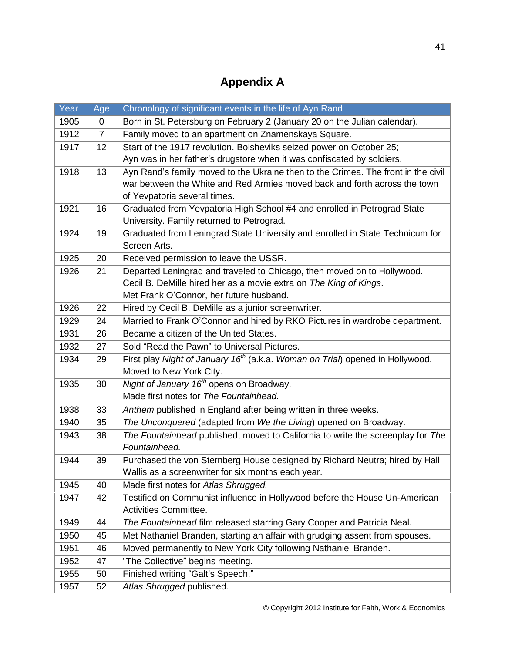# **Appendix A**

| Year | Age            | Chronology of significant events in the life of Ayn Rand                                  |
|------|----------------|-------------------------------------------------------------------------------------------|
| 1905 | 0              | Born in St. Petersburg on February 2 (January 20 on the Julian calendar).                 |
| 1912 | $\overline{7}$ | Family moved to an apartment on Znamenskaya Square.                                       |
| 1917 | 12             | Start of the 1917 revolution. Bolsheviks seized power on October 25;                      |
|      |                | Ayn was in her father's drugstore when it was confiscated by soldiers.                    |
| 1918 | 13             | Ayn Rand's family moved to the Ukraine then to the Crimea. The front in the civil         |
|      |                | war between the White and Red Armies moved back and forth across the town                 |
|      |                | of Yevpatoria several times.                                                              |
| 1921 | 16             | Graduated from Yevpatoria High School #4 and enrolled in Petrograd State                  |
|      |                | University. Family returned to Petrograd.                                                 |
| 1924 | 19             | Graduated from Leningrad State University and enrolled in State Technicum for             |
|      |                | Screen Arts.                                                                              |
| 1925 | 20             | Received permission to leave the USSR.                                                    |
| 1926 | 21             | Departed Leningrad and traveled to Chicago, then moved on to Hollywood.                   |
|      |                | Cecil B. DeMille hired her as a movie extra on The King of Kings.                         |
|      |                | Met Frank O'Connor, her future husband.                                                   |
| 1926 | 22             | Hired by Cecil B. DeMille as a junior screenwriter.                                       |
| 1929 | 24             | Married to Frank O'Connor and hired by RKO Pictures in wardrobe department.               |
| 1931 | 26             | Became a citizen of the United States.                                                    |
| 1932 | 27             | Sold "Read the Pawn" to Universal Pictures.                                               |
| 1934 | 29             | First play Night of January 16 <sup>th</sup> (a.k.a. Woman on Trial) opened in Hollywood. |
|      |                | Moved to New York City.                                                                   |
| 1935 | 30             | Night of January 16 <sup>th</sup> opens on Broadway.                                      |
|      |                | Made first notes for The Fountainhead.                                                    |
| 1938 | 33             | Anthem published in England after being written in three weeks.                           |
| 1940 | 35             | The Unconquered (adapted from We the Living) opened on Broadway.                          |
| 1943 | 38             | The Fountainhead published; moved to California to write the screenplay for The           |
|      |                | Fountainhead.                                                                             |
| 1944 | 39             | Purchased the von Sternberg House designed by Richard Neutra; hired by Hall               |
|      |                | Wallis as a screenwriter for six months each year.                                        |
| 1945 | 40             | Made first notes for Atlas Shrugged.                                                      |
| 1947 | 42             | Testified on Communist influence in Hollywood before the House Un-American                |
|      |                | Activities Committee.                                                                     |
| 1949 | 44             | The Fountainhead film released starring Gary Cooper and Patricia Neal.                    |
| 1950 | 45             | Met Nathaniel Branden, starting an affair with grudging assent from spouses.              |
| 1951 | 46             | Moved permanently to New York City following Nathaniel Branden.                           |
| 1952 | 47             | "The Collective" begins meeting.                                                          |
| 1955 | 50             | Finished writing "Galt's Speech."                                                         |
| 1957 | 52             | Atlas Shrugged published.                                                                 |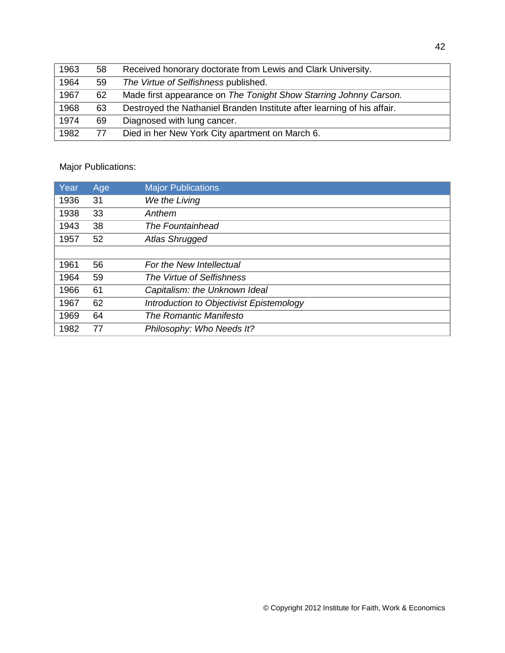| 1963 | 58 | Received honorary doctorate from Lewis and Clark University.            |
|------|----|-------------------------------------------------------------------------|
| 1964 | 59 | The Virtue of Selfishness published.                                    |
| 1967 | 62 | Made first appearance on The Tonight Show Starring Johnny Carson.       |
| 1968 | 63 | Destroyed the Nathaniel Branden Institute after learning of his affair. |
| 1974 | 69 | Diagnosed with lung cancer.                                             |
| 1982 | 77 | Died in her New York City apartment on March 6.                         |
|      |    |                                                                         |

## Major Publications:

| Year | Age | <b>Major Publications</b>                |
|------|-----|------------------------------------------|
| 1936 | 31  | We the Living                            |
| 1938 | 33  | Anthem                                   |
| 1943 | 38  | The Fountainhead                         |
| 1957 | 52  | Atlas Shrugged                           |
|      |     |                                          |
| 1961 | 56  | For the New Intellectual                 |
| 1964 | 59  | The Virtue of Selfishness                |
| 1966 | 61  | Capitalism: the Unknown Ideal            |
| 1967 | 62  | Introduction to Objectivist Epistemology |
| 1969 | 64  | The Romantic Manifesto                   |
| 1982 | 77  | Philosophy: Who Needs It?                |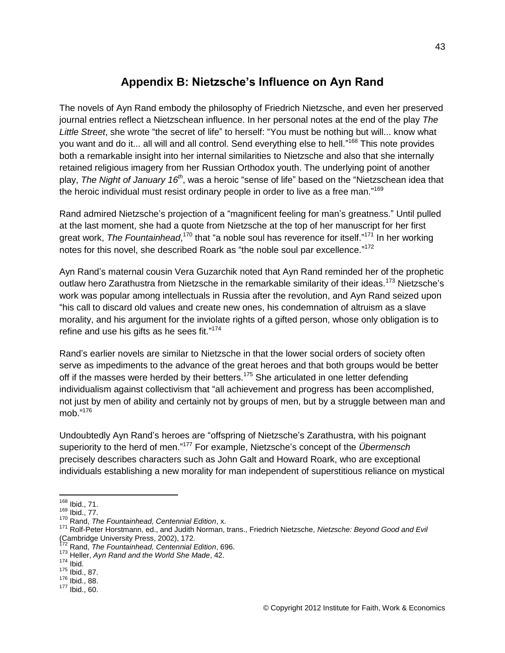## **Appendix B: Nietzsche's Influence on Ayn Rand**

The novels of Ayn Rand embody the philosophy of Friedrich Nietzsche, and even her preserved journal entries reflect a Nietzschean influence. In her personal notes at the end of the play *The Little Street*, she wrote "the secret of life" to herself: "You must be nothing but will... know what you want and do it... all will and all control. Send everything else to hell."<sup>168</sup> This note provides both a remarkable insight into her internal similarities to Nietzsche and also that she internally retained religious imagery from her Russian Orthodox youth. The underlying point of another play, *The Night of January 16th*, was a heroic "sense of life" based on the "Nietzschean idea that the heroic individual must resist ordinary people in order to live as a free man."<sup>169</sup>

Rand admired Nietzsche's projection of a "magnificent feeling for man's greatness." Until pulled at the last moment, she had a quote from Nietzsche at the top of her manuscript for her first great work, *The Fountainhead*,<sup>170</sup> that "a noble soul has reverence for itself."<sup>171</sup> In her working notes for this novel, she described Roark as "the noble soul par excellence."<sup>172</sup>

Ayn Rand's maternal cousin Vera Guzarchik noted that Ayn Rand reminded her of the prophetic outlaw hero Zarathustra from Nietzsche in the remarkable similarity of their ideas.<sup>173</sup> Nietzsche's work was popular among intellectuals in Russia after the revolution, and Ayn Rand seized upon "his call to discard old values and create new ones, his condemnation of altruism as a slave morality, and his argument for the inviolate rights of a gifted person, whose only obligation is to refine and use his gifts as he sees fit."<sup>174</sup>

Rand's earlier novels are similar to Nietzsche in that the lower social orders of society often serve as impediments to the advance of the great heroes and that both groups would be better off if the masses were herded by their betters.<sup>175</sup> She articulated in one letter defending individualism against collectivism that "all achievement and progress has been accomplished, not just by men of ability and certainly not by groups of men, but by a struggle between man and mob." 176

Undoubtedly Ayn Rand's heroes are "offspring of Nietzsche's Zarathustra, with his poignant superiority to the herd of men." <sup>177</sup> For example, Nietzsche's concept of the *Übermensch*  precisely describes characters such as John Galt and Howard Roark, who are exceptional individuals establishing a new morality for man independent of superstitious reliance on mystical

 $\overline{a}$ <sup>168</sup> Ibid., 71.

<sup>169</sup> Ibid., 77.

<sup>170</sup> Rand, *The Fountainhead, Centennial Edition*, x.

<sup>171</sup> Rolf-Peter Horstmann, ed., and Judith Norman, trans., Friedrich Nietzsche, *Nietzsche: Beyond Good and Evil* (Cambridge University Press, 2002), 172.

<sup>172</sup> Rand, *The Fountainhead, Centennial Edition*, 696.

<sup>173</sup> Heller, *Ayn Rand and the World She Made*, 42.

 $174$  Ibid.

<sup>175</sup> Ibid., 87.

<sup>176</sup> Ibid., 88.

 $177$  Ibid., 60.